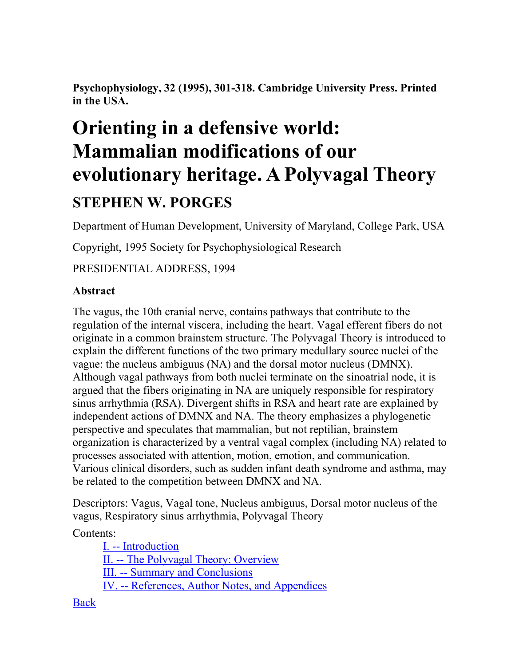**Psychophysiology, 32 (1995), 301-318. Cambridge University Press. Printed in the USA.**

# **Orienting in a defensive world: Mammalian modifications of our evolutionary heritage. A Polyvagal Theory STEPHEN W. PORGES**

Department of Human Development, University of Maryland, College Park, USA

Copyright, 1995 Society for Psychophysiological Research

PRESIDENTIAL ADDRESS, 1994

## **Abstract**

The vagus, the 10th cranial nerve, contains pathways that contribute to the regulation of the internal viscera, including the heart. Vagal efferent fibers do not originate in a common brainstem structure. The Polyvagal Theory is introduced to explain the different functions of the two primary medullary source nuclei of the vague: the nucleus ambiguus (NA) and the dorsal motor nucleus (DMNX). Although vagal pathways from both nuclei terminate on the sinoatrial node, it is argued that the fibers originating in NA are uniquely responsible for respiratory sinus arrhythmia (RSA). Divergent shifts in RSA and heart rate are explained by independent actions of DMNX and NA. The theory emphasizes a phylogenetic perspective and speculates that mammalian, but not reptilian, brainstem organization is characterized by a ventral vagal complex (including NA) related to processes associated with attention, motion, emotion, and communication. Various clinical disorders, such as sudden infant death syndrome and asthma, may be related to the competition between DMNX and NA.

Descriptors: Vagus, Vagal tone, Nucleus ambiguus, Dorsal motor nucleus of the vagus, Respiratory sinus arrhythmia, Polyvagal Theory

Contents:

I. -- [Introduction](http://terpconnect.umd.edu/~sporges/polyvag/polyvag1.htm) II. -- [The Polyvagal Theory: Overview](http://terpconnect.umd.edu/~sporges/polyvag/polyvag2.htm) III. -- [Summary and Conclusions](http://terpconnect.umd.edu/~sporges/polyvag/polyvag3.htm) IV. -- [References, Author Notes, and Appendices](http://terpconnect.umd.edu/~sporges/polyvag/polyvag4.htm)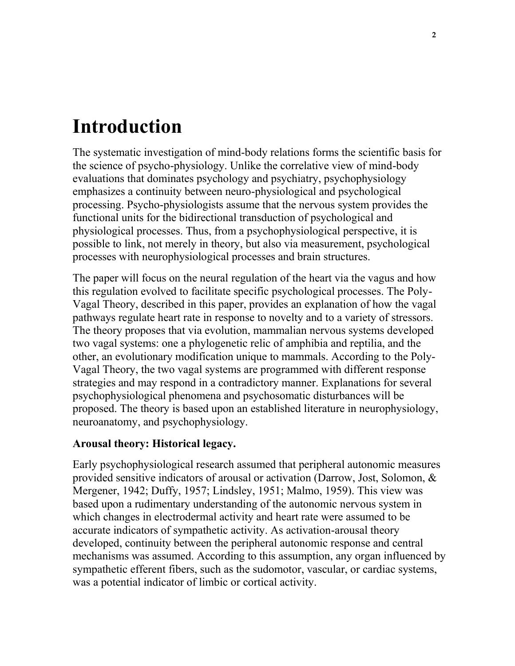# **Introduction**

The systematic investigation of mind-body relations forms the scientific basis for the science of psycho-physiology. Unlike the correlative view of mind-body evaluations that dominates psychology and psychiatry, psychophysiology emphasizes a continuity between neuro-physiological and psychological processing. Psycho-physiologists assume that the nervous system provides the functional units for the bidirectional transduction of psychological and physiological processes. Thus, from a psychophysiological perspective, it is possible to link, not merely in theory, but also via measurement, psychological processes with neurophysiological processes and brain structures.

The paper will focus on the neural regulation of the heart via the vagus and how this regulation evolved to facilitate specific psychological processes. The Poly-Vagal Theory, described in this paper, provides an explanation of how the vagal pathways regulate heart rate in response to novelty and to a variety of stressors. The theory proposes that via evolution, mammalian nervous systems developed two vagal systems: one a phylogenetic relic of amphibia and reptilia, and the other, an evolutionary modification unique to mammals. According to the Poly-Vagal Theory, the two vagal systems are programmed with different response strategies and may respond in a contradictory manner. Explanations for several psychophysiological phenomena and psychosomatic disturbances will be proposed. The theory is based upon an established literature in neurophysiology, neuroanatomy, and psychophysiology.

#### **Arousal theory: Historical legacy.**

Early psychophysiological research assumed that peripheral autonomic measures provided sensitive indicators of arousal or activation (Darrow, Jost, Solomon, & Mergener, 1942; Duffy, 1957; Lindsley, 1951; Malmo, 1959). This view was based upon a rudimentary understanding of the autonomic nervous system in which changes in electrodermal activity and heart rate were assumed to be accurate indicators of sympathetic activity. As activation-arousal theory developed, continuity between the peripheral autonomic response and central mechanisms was assumed. According to this assumption, any organ influenced by sympathetic efferent fibers, such as the sudomotor, vascular, or cardiac systems, was a potential indicator of limbic or cortical activity.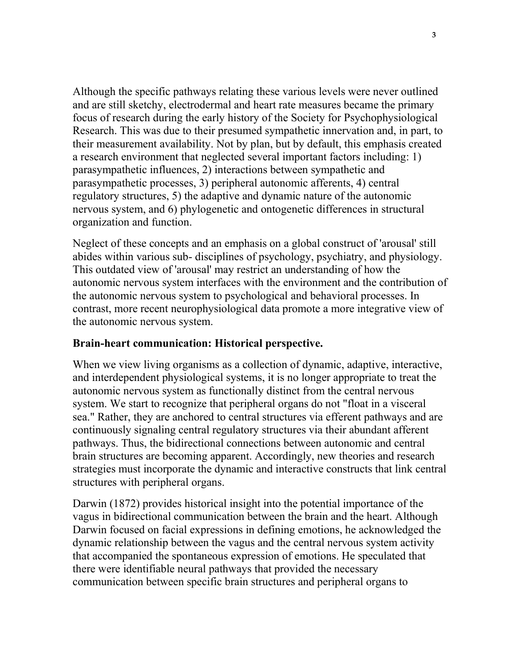Although the specific pathways relating these various levels were never outlined and are still sketchy, electrodermal and heart rate measures became the primary focus of research during the early history of the Society for Psychophysiological Research. This was due to their presumed sympathetic innervation and, in part, to their measurement availability. Not by plan, but by default, this emphasis created a research environment that neglected several important factors including: 1) parasympathetic influences, 2) interactions between sympathetic and parasympathetic processes, 3) peripheral autonomic afferents, 4) central regulatory structures, 5) the adaptive and dynamic nature of the autonomic nervous system, and 6) phylogenetic and ontogenetic differences in structural organization and function.

Neglect of these concepts and an emphasis on a global construct of 'arousal' still abides within various sub- disciplines of psychology, psychiatry, and physiology. This outdated view of 'arousal' may restrict an understanding of how the autonomic nervous system interfaces with the environment and the contribution of the autonomic nervous system to psychological and behavioral processes. In contrast, more recent neurophysiological data promote a more integrative view of the autonomic nervous system.

#### **Brain-heart communication: Historical perspective.**

When we view living organisms as a collection of dynamic, adaptive, interactive, and interdependent physiological systems, it is no longer appropriate to treat the autonomic nervous system as functionally distinct from the central nervous system. We start to recognize that peripheral organs do not "float in a visceral sea." Rather, they are anchored to central structures via efferent pathways and are continuously signaling central regulatory structures via their abundant afferent pathways. Thus, the bidirectional connections between autonomic and central brain structures are becoming apparent. Accordingly, new theories and research strategies must incorporate the dynamic and interactive constructs that link central structures with peripheral organs.

Darwin (1872) provides historical insight into the potential importance of the vagus in bidirectional communication between the brain and the heart. Although Darwin focused on facial expressions in defining emotions, he acknowledged the dynamic relationship between the vagus and the central nervous system activity that accompanied the spontaneous expression of emotions. He speculated that there were identifiable neural pathways that provided the necessary communication between specific brain structures and peripheral organs to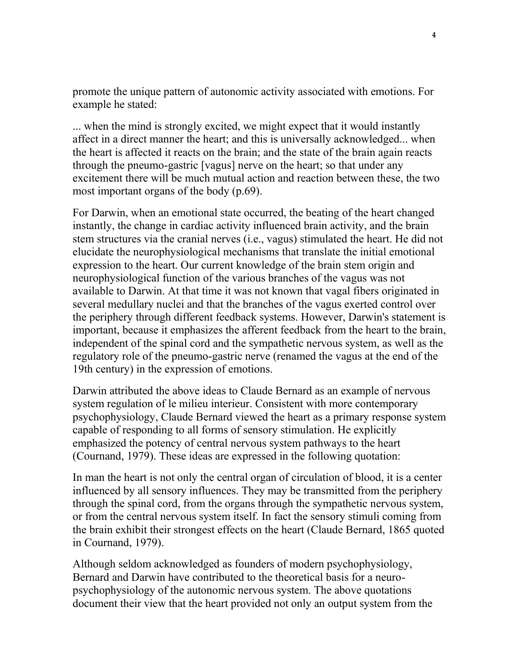promote the unique pattern of autonomic activity associated with emotions. For example he stated:

... when the mind is strongly excited, we might expect that it would instantly affect in a direct manner the heart; and this is universally acknowledged... when the heart is affected it reacts on the brain; and the state of the brain again reacts through the pneumo-gastric [vagus] nerve on the heart; so that under any excitement there will be much mutual action and reaction between these, the two most important organs of the body (p.69).

For Darwin, when an emotional state occurred, the beating of the heart changed instantly, the change in cardiac activity influenced brain activity, and the brain stem structures via the cranial nerves (i.e., vagus) stimulated the heart. He did not elucidate the neurophysiological mechanisms that translate the initial emotional expression to the heart. Our current knowledge of the brain stem origin and neurophysiological function of the various branches of the vagus was not available to Darwin. At that time it was not known that vagal fibers originated in several medullary nuclei and that the branches of the vagus exerted control over the periphery through different feedback systems. However, Darwin's statement is important, because it emphasizes the afferent feedback from the heart to the brain, independent of the spinal cord and the sympathetic nervous system, as well as the regulatory role of the pneumo-gastric nerve (renamed the vagus at the end of the 19th century) in the expression of emotions.

Darwin attributed the above ideas to Claude Bernard as an example of nervous system regulation of le milieu interieur. Consistent with more contemporary psychophysiology, Claude Bernard viewed the heart as a primary response system capable of responding to all forms of sensory stimulation. He explicitly emphasized the potency of central nervous system pathways to the heart (Cournand, 1979). These ideas are expressed in the following quotation:

In man the heart is not only the central organ of circulation of blood, it is a center influenced by all sensory influences. They may be transmitted from the periphery through the spinal cord, from the organs through the sympathetic nervous system, or from the central nervous system itself. In fact the sensory stimuli coming from the brain exhibit their strongest effects on the heart (Claude Bernard, 1865 quoted in Cournand, 1979).

Although seldom acknowledged as founders of modern psychophysiology, Bernard and Darwin have contributed to the theoretical basis for a neuropsychophysiology of the autonomic nervous system. The above quotations document their view that the heart provided not only an output system from the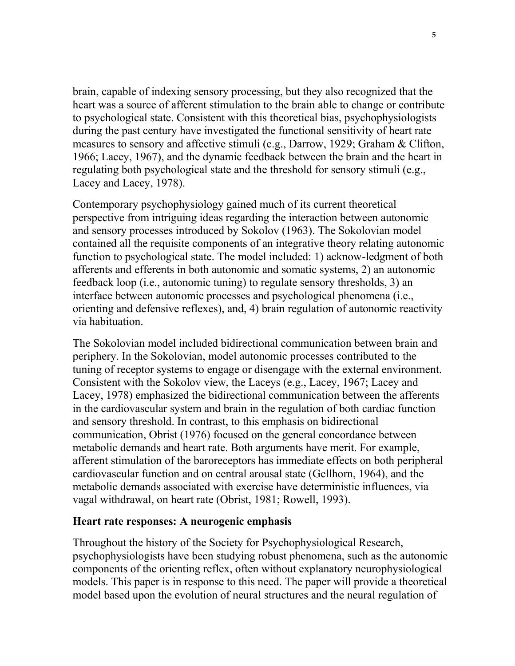brain, capable of indexing sensory processing, but they also recognized that the heart was a source of afferent stimulation to the brain able to change or contribute to psychological state. Consistent with this theoretical bias, psychophysiologists during the past century have investigated the functional sensitivity of heart rate measures to sensory and affective stimuli (e.g., Darrow, 1929; Graham & Clifton, 1966; Lacey, 1967), and the dynamic feedback between the brain and the heart in regulating both psychological state and the threshold for sensory stimuli (e.g., Lacey and Lacey, 1978).

Contemporary psychophysiology gained much of its current theoretical perspective from intriguing ideas regarding the interaction between autonomic and sensory processes introduced by Sokolov (1963). The Sokolovian model contained all the requisite components of an integrative theory relating autonomic function to psychological state. The model included: 1) acknow-ledgment of both afferents and efferents in both autonomic and somatic systems, 2) an autonomic feedback loop (i.e., autonomic tuning) to regulate sensory thresholds, 3) an interface between autonomic processes and psychological phenomena (i.e., orienting and defensive reflexes), and, 4) brain regulation of autonomic reactivity via habituation.

The Sokolovian model included bidirectional communication between brain and periphery. In the Sokolovian, model autonomic processes contributed to the tuning of receptor systems to engage or disengage with the external environment. Consistent with the Sokolov view, the Laceys (e.g., Lacey, 1967; Lacey and Lacey, 1978) emphasized the bidirectional communication between the afferents in the cardiovascular system and brain in the regulation of both cardiac function and sensory threshold. In contrast, to this emphasis on bidirectional communication, Obrist (1976) focused on the general concordance between metabolic demands and heart rate. Both arguments have merit. For example, afferent stimulation of the baroreceptors has immediate effects on both peripheral cardiovascular function and on central arousal state (Gellhorn, 1964), and the metabolic demands associated with exercise have deterministic influences, via vagal withdrawal, on heart rate (Obrist, 1981; Rowell, 1993).

#### **Heart rate responses: A neurogenic emphasis**

Throughout the history of the Society for Psychophysiological Research, psychophysiologists have been studying robust phenomena, such as the autonomic components of the orienting reflex, often without explanatory neurophysiological models. This paper is in response to this need. The paper will provide a theoretical model based upon the evolution of neural structures and the neural regulation of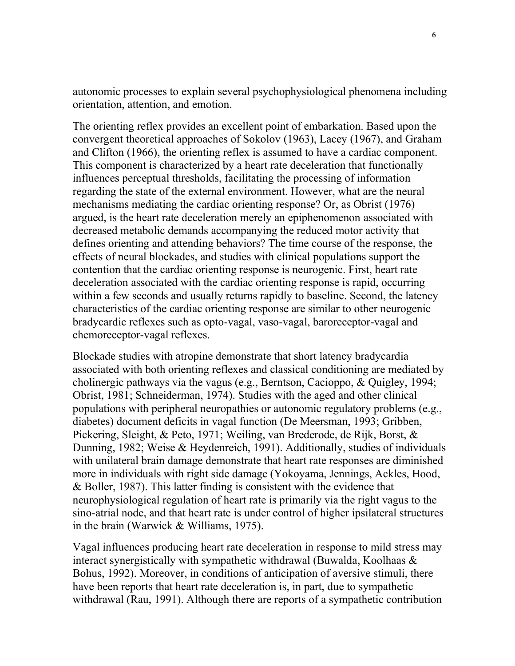autonomic processes to explain several psychophysiological phenomena including orientation, attention, and emotion.

The orienting reflex provides an excellent point of embarkation. Based upon the convergent theoretical approaches of Sokolov (1963), Lacey (1967), and Graham and Clifton (1966), the orienting reflex is assumed to have a cardiac component. This component is characterized by a heart rate deceleration that functionally influences perceptual thresholds, facilitating the processing of information regarding the state of the external environment. However, what are the neural mechanisms mediating the cardiac orienting response? Or, as Obrist (1976) argued, is the heart rate deceleration merely an epiphenomenon associated with decreased metabolic demands accompanying the reduced motor activity that defines orienting and attending behaviors? The time course of the response, the effects of neural blockades, and studies with clinical populations support the contention that the cardiac orienting response is neurogenic. First, heart rate deceleration associated with the cardiac orienting response is rapid, occurring within a few seconds and usually returns rapidly to baseline. Second, the latency characteristics of the cardiac orienting response are similar to other neurogenic bradycardic reflexes such as opto-vagal, vaso-vagal, baroreceptor-vagal and chemoreceptor-vagal reflexes.

Blockade studies with atropine demonstrate that short latency bradycardia associated with both orienting reflexes and classical conditioning are mediated by cholinergic pathways via the vagus (e.g., Berntson, Cacioppo, & Quigley, 1994; Obrist, 1981; Schneiderman, 1974). Studies with the aged and other clinical populations with peripheral neuropathies or autonomic regulatory problems (e.g., diabetes) document deficits in vagal function (De Meersman, 1993; Gribben, Pickering, Sleight, & Peto, 1971; Weiling, van Brederode, de Rijk, Borst, & Dunning, 1982; Weise & Heydenreich, 1991). Additionally, studies of individuals with unilateral brain damage demonstrate that heart rate responses are diminished more in individuals with right side damage (Yokoyama, Jennings, Ackles, Hood, & Boller, 1987). This latter finding is consistent with the evidence that neurophysiological regulation of heart rate is primarily via the right vagus to the sino-atrial node, and that heart rate is under control of higher ipsilateral structures in the brain (Warwick & Williams, 1975).

Vagal influences producing heart rate deceleration in response to mild stress may interact synergistically with sympathetic withdrawal (Buwalda, Koolhaas & Bohus, 1992). Moreover, in conditions of anticipation of aversive stimuli, there have been reports that heart rate deceleration is, in part, due to sympathetic withdrawal (Rau, 1991). Although there are reports of a sympathetic contribution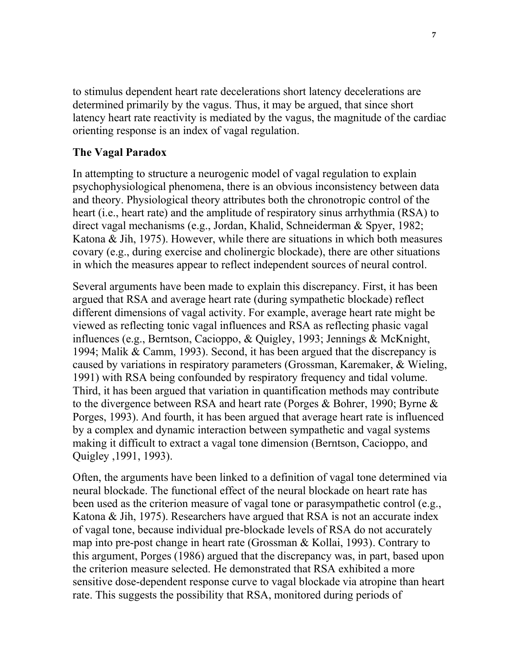to stimulus dependent heart rate decelerations short latency decelerations are determined primarily by the vagus. Thus, it may be argued, that since short latency heart rate reactivity is mediated by the vagus, the magnitude of the cardiac orienting response is an index of vagal regulation.

#### **The Vagal Paradox**

In attempting to structure a neurogenic model of vagal regulation to explain psychophysiological phenomena, there is an obvious inconsistency between data and theory. Physiological theory attributes both the chronotropic control of the heart (i.e., heart rate) and the amplitude of respiratory sinus arrhythmia (RSA) to direct vagal mechanisms (e.g., Jordan, Khalid, Schneiderman & Spyer, 1982; Katona & Jih, 1975). However, while there are situations in which both measures covary (e.g., during exercise and cholinergic blockade), there are other situations in which the measures appear to reflect independent sources of neural control.

Several arguments have been made to explain this discrepancy. First, it has been argued that RSA and average heart rate (during sympathetic blockade) reflect different dimensions of vagal activity. For example, average heart rate might be viewed as reflecting tonic vagal influences and RSA as reflecting phasic vagal influences (e.g., Berntson, Cacioppo, & Quigley, 1993; Jennings & McKnight, 1994; Malik & Camm, 1993). Second, it has been argued that the discrepancy is caused by variations in respiratory parameters (Grossman, Karemaker, & Wieling, 1991) with RSA being confounded by respiratory frequency and tidal volume. Third, it has been argued that variation in quantification methods may contribute to the divergence between RSA and heart rate (Porges & Bohrer, 1990; Byrne & Porges, 1993). And fourth, it has been argued that average heart rate is influenced by a complex and dynamic interaction between sympathetic and vagal systems making it difficult to extract a vagal tone dimension (Berntson, Cacioppo, and Quigley ,1991, 1993).

Often, the arguments have been linked to a definition of vagal tone determined via neural blockade. The functional effect of the neural blockade on heart rate has been used as the criterion measure of vagal tone or parasympathetic control (e.g., Katona & Jih, 1975). Researchers have argued that RSA is not an accurate index of vagal tone, because individual pre-blockade levels of RSA do not accurately map into pre-post change in heart rate (Grossman & Kollai, 1993). Contrary to this argument, Porges (1986) argued that the discrepancy was, in part, based upon the criterion measure selected. He demonstrated that RSA exhibited a more sensitive dose-dependent response curve to vagal blockade via atropine than heart rate. This suggests the possibility that RSA, monitored during periods of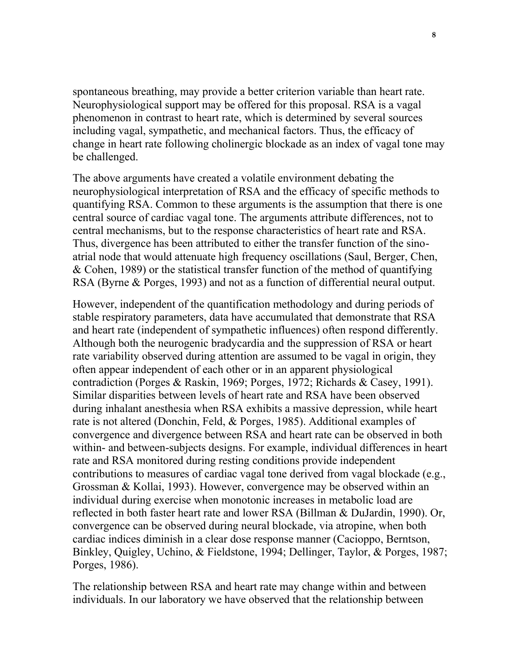spontaneous breathing, may provide a better criterion variable than heart rate. Neurophysiological support may be offered for this proposal. RSA is a vagal phenomenon in contrast to heart rate, which is determined by several sources including vagal, sympathetic, and mechanical factors. Thus, the efficacy of change in heart rate following cholinergic blockade as an index of vagal tone may be challenged.

The above arguments have created a volatile environment debating the neurophysiological interpretation of RSA and the efficacy of specific methods to quantifying RSA. Common to these arguments is the assumption that there is one central source of cardiac vagal tone. The arguments attribute differences, not to central mechanisms, but to the response characteristics of heart rate and RSA. Thus, divergence has been attributed to either the transfer function of the sinoatrial node that would attenuate high frequency oscillations (Saul, Berger, Chen, & Cohen, 1989) or the statistical transfer function of the method of quantifying RSA (Byrne & Porges, 1993) and not as a function of differential neural output.

However, independent of the quantification methodology and during periods of stable respiratory parameters, data have accumulated that demonstrate that RSA and heart rate (independent of sympathetic influences) often respond differently. Although both the neurogenic bradycardia and the suppression of RSA or heart rate variability observed during attention are assumed to be vagal in origin, they often appear independent of each other or in an apparent physiological contradiction (Porges & Raskin, 1969; Porges, 1972; Richards & Casey, 1991). Similar disparities between levels of heart rate and RSA have been observed during inhalant anesthesia when RSA exhibits a massive depression, while heart rate is not altered (Donchin, Feld, & Porges, 1985). Additional examples of convergence and divergence between RSA and heart rate can be observed in both within- and between-subjects designs. For example, individual differences in heart rate and RSA monitored during resting conditions provide independent contributions to measures of cardiac vagal tone derived from vagal blockade (e.g., Grossman & Kollai, 1993). However, convergence may be observed within an individual during exercise when monotonic increases in metabolic load are reflected in both faster heart rate and lower RSA (Billman & DuJardin, 1990). Or, convergence can be observed during neural blockade, via atropine, when both cardiac indices diminish in a clear dose response manner (Cacioppo, Berntson, Binkley, Quigley, Uchino, & Fieldstone, 1994; Dellinger, Taylor, & Porges, 1987; Porges, 1986).

The relationship between RSA and heart rate may change within and between individuals. In our laboratory we have observed that the relationship between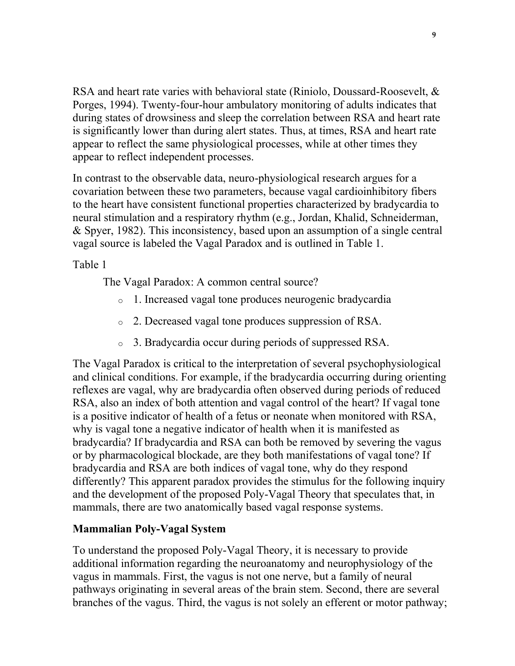RSA and heart rate varies with behavioral state (Riniolo, Doussard-Roosevelt, & Porges, 1994). Twenty-four-hour ambulatory monitoring of adults indicates that during states of drowsiness and sleep the correlation between RSA and heart rate is significantly lower than during alert states. Thus, at times, RSA and heart rate appear to reflect the same physiological processes, while at other times they appear to reflect independent processes.

In contrast to the observable data, neuro-physiological research argues for a covariation between these two parameters, because vagal cardioinhibitory fibers to the heart have consistent functional properties characterized by bradycardia to neural stimulation and a respiratory rhythm (e.g., Jordan, Khalid, Schneiderman, & Spyer, 1982). This inconsistency, based upon an assumption of a single central vagal source is labeled the Vagal Paradox and is outlined in Table 1.

Table 1

The Vagal Paradox: A common central source?

- o 1. Increased vagal tone produces neurogenic bradycardia
- o 2. Decreased vagal tone produces suppression of RSA.
- o 3. Bradycardia occur during periods of suppressed RSA.

The Vagal Paradox is critical to the interpretation of several psychophysiological and clinical conditions. For example, if the bradycardia occurring during orienting reflexes are vagal, why are bradycardia often observed during periods of reduced RSA, also an index of both attention and vagal control of the heart? If vagal tone is a positive indicator of health of a fetus or neonate when monitored with RSA, why is vagal tone a negative indicator of health when it is manifested as bradycardia? If bradycardia and RSA can both be removed by severing the vagus or by pharmacological blockade, are they both manifestations of vagal tone? If bradycardia and RSA are both indices of vagal tone, why do they respond differently? This apparent paradox provides the stimulus for the following inquiry and the development of the proposed Poly-Vagal Theory that speculates that, in mammals, there are two anatomically based vagal response systems.

#### **Mammalian Poly-Vagal System**

To understand the proposed Poly-Vagal Theory, it is necessary to provide additional information regarding the neuroanatomy and neurophysiology of the vagus in mammals. First, the vagus is not one nerve, but a family of neural pathways originating in several areas of the brain stem. Second, there are several branches of the vagus. Third, the vagus is not solely an efferent or motor pathway;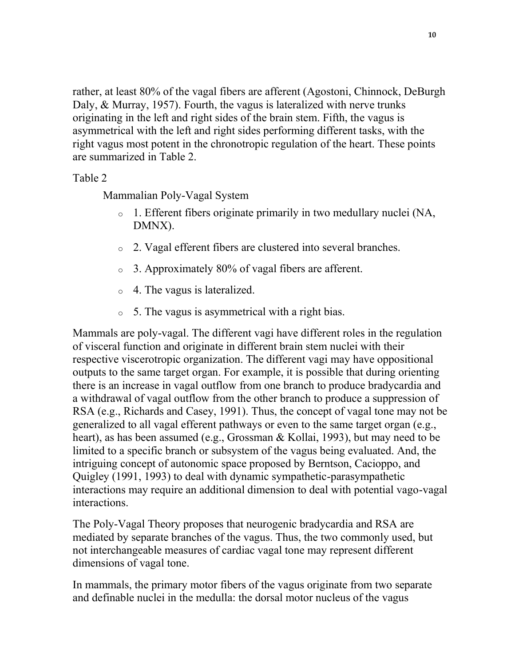rather, at least 80% of the vagal fibers are afferent (Agostoni, Chinnock, DeBurgh Daly, & Murray, 1957). Fourth, the vagus is lateralized with nerve trunks originating in the left and right sides of the brain stem. Fifth, the vagus is asymmetrical with the left and right sides performing different tasks, with the right vagus most potent in the chronotropic regulation of the heart. These points are summarized in Table 2.

Table 2

Mammalian Poly-Vagal System

- o 1. Efferent fibers originate primarily in two medullary nuclei (NA, DMNX).
- o 2. Vagal efferent fibers are clustered into several branches.
- o 3. Approximately 80% of vagal fibers are afferent.
- o 4. The vagus is lateralized.
- o 5. The vagus is asymmetrical with a right bias.

Mammals are poly-vagal. The different vagi have different roles in the regulation of visceral function and originate in different brain stem nuclei with their respective viscerotropic organization. The different vagi may have oppositional outputs to the same target organ. For example, it is possible that during orienting there is an increase in vagal outflow from one branch to produce bradycardia and a withdrawal of vagal outflow from the other branch to produce a suppression of RSA (e.g., Richards and Casey, 1991). Thus, the concept of vagal tone may not be generalized to all vagal efferent pathways or even to the same target organ (e.g., heart), as has been assumed (e.g., Grossman & Kollai, 1993), but may need to be limited to a specific branch or subsystem of the vagus being evaluated. And, the intriguing concept of autonomic space proposed by Berntson, Cacioppo, and Quigley (1991, 1993) to deal with dynamic sympathetic-parasympathetic interactions may require an additional dimension to deal with potential vago-vagal interactions.

The Poly-Vagal Theory proposes that neurogenic bradycardia and RSA are mediated by separate branches of the vagus. Thus, the two commonly used, but not interchangeable measures of cardiac vagal tone may represent different dimensions of vagal tone.

In mammals, the primary motor fibers of the vagus originate from two separate and definable nuclei in the medulla: the dorsal motor nucleus of the vagus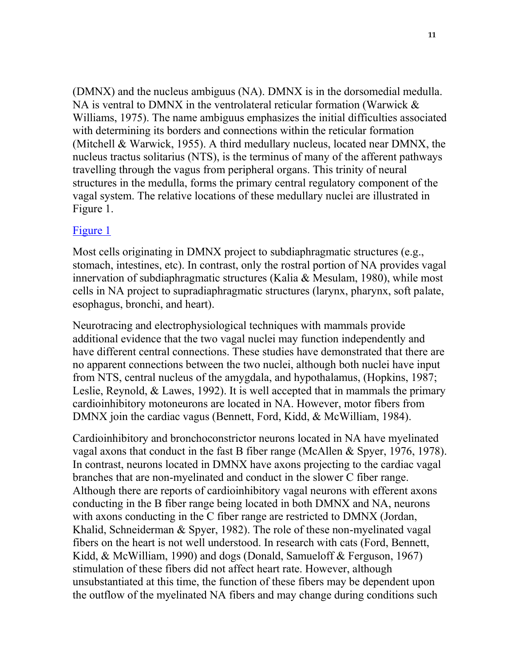(DMNX) and the nucleus ambiguus (NA). DMNX is in the dorsomedial medulla. NA is ventral to DMNX in the ventrolateral reticular formation (Warwick & Williams, 1975). The name ambiguus emphasizes the initial difficulties associated with determining its borders and connections within the reticular formation (Mitchell & Warwick, 1955). A third medullary nucleus, located near DMNX, the nucleus tractus solitarius (NTS), is the terminus of many of the afferent pathways travelling through the vagus from peripheral organs. This trinity of neural structures in the medulla, forms the primary central regulatory component of the vagal system. The relative locations of these medullary nuclei are illustrated in Figure 1.

#### [Figure 1](http://terpconnect.umd.edu/~sporges/polyvag/polyfig1.gif)

Most cells originating in DMNX project to subdiaphragmatic structures (e.g., stomach, intestines, etc). In contrast, only the rostral portion of NA provides vagal innervation of subdiaphragmatic structures (Kalia & Mesulam, 1980), while most cells in NA project to supradiaphragmatic structures (larynx, pharynx, soft palate, esophagus, bronchi, and heart).

Neurotracing and electrophysiological techniques with mammals provide additional evidence that the two vagal nuclei may function independently and have different central connections. These studies have demonstrated that there are no apparent connections between the two nuclei, although both nuclei have input from NTS, central nucleus of the amygdala, and hypothalamus, (Hopkins, 1987; Leslie, Reynold, & Lawes, 1992). It is well accepted that in mammals the primary cardioinhibitory motoneurons are located in NA. However, motor fibers from DMNX join the cardiac vagus (Bennett, Ford, Kidd, & McWilliam, 1984).

Cardioinhibitory and bronchoconstrictor neurons located in NA have myelinated vagal axons that conduct in the fast B fiber range (McAllen & Spyer, 1976, 1978). In contrast, neurons located in DMNX have axons projecting to the cardiac vagal branches that are non-myelinated and conduct in the slower C fiber range. Although there are reports of cardioinhibitory vagal neurons with efferent axons conducting in the B fiber range being located in both DMNX and NA, neurons with axons conducting in the C fiber range are restricted to DMNX (Jordan, Khalid, Schneiderman & Spyer, 1982). The role of these non-myelinated vagal fibers on the heart is not well understood. In research with cats (Ford, Bennett, Kidd, & McWilliam, 1990) and dogs (Donald, Samueloff & Ferguson, 1967) stimulation of these fibers did not affect heart rate. However, although unsubstantiated at this time, the function of these fibers may be dependent upon the outflow of the myelinated NA fibers and may change during conditions such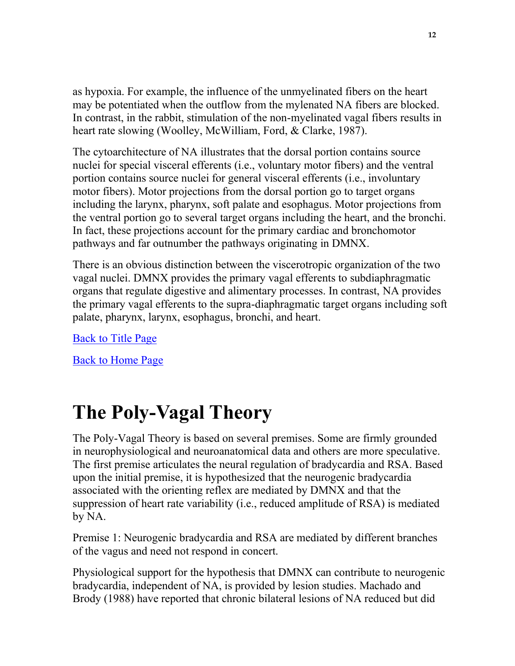as hypoxia. For example, the influence of the unmyelinated fibers on the heart may be potentiated when the outflow from the mylenated NA fibers are blocked. In contrast, in the rabbit, stimulation of the non-myelinated vagal fibers results in heart rate slowing (Woolley, McWilliam, Ford, & Clarke, 1987).

The cytoarchitecture of NA illustrates that the dorsal portion contains source nuclei for special visceral efferents (i.e., voluntary motor fibers) and the ventral portion contains source nuclei for general visceral efferents (i.e., involuntary motor fibers). Motor projections from the dorsal portion go to target organs including the larynx, pharynx, soft palate and esophagus. Motor projections from the ventral portion go to several target organs including the heart, and the bronchi. In fact, these projections account for the primary cardiac and bronchomotor pathways and far outnumber the pathways originating in DMNX.

There is an obvious distinction between the viscerotropic organization of the two vagal nuclei. DMNX provides the primary vagal efferents to subdiaphragmatic organs that regulate digestive and alimentary processes. In contrast, NA provides the primary vagal efferents to the supra-diaphragmatic target organs including soft palate, pharynx, larynx, esophagus, bronchi, and heart.

[Back to Title Page](http://terpconnect.umd.edu/~sporges/polyvag.htm)

[Back to Home Page](http://terpconnect.umd.edu/~sporges/welcome.htm)

# **The Poly-Vagal Theory**

The Poly-Vagal Theory is based on several premises. Some are firmly grounded in neurophysiological and neuroanatomical data and others are more speculative. The first premise articulates the neural regulation of bradycardia and RSA. Based upon the initial premise, it is hypothesized that the neurogenic bradycardia associated with the orienting reflex are mediated by DMNX and that the suppression of heart rate variability (i.e., reduced amplitude of RSA) is mediated by NA.

Premise 1: Neurogenic bradycardia and RSA are mediated by different branches of the vagus and need not respond in concert.

Physiological support for the hypothesis that DMNX can contribute to neurogenic bradycardia, independent of NA, is provided by lesion studies. Machado and Brody (1988) have reported that chronic bilateral lesions of NA reduced but did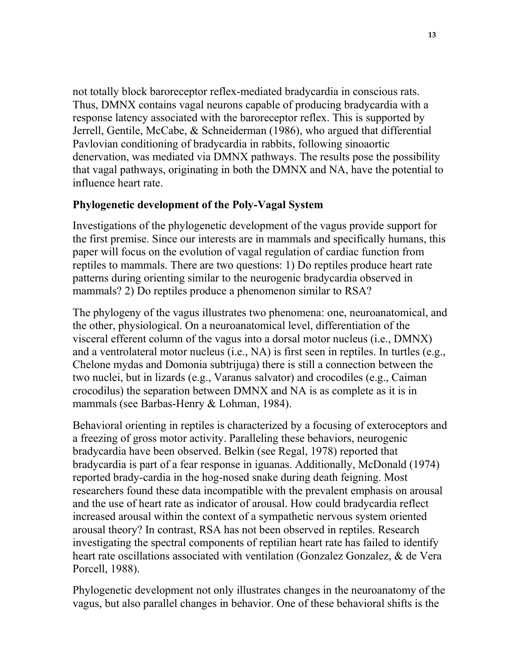not totally block baroreceptor reflex-mediated bradycardia in conscious rats. Thus, DMNX contains vagal neurons capable of producing bradycardia with a response latency associated with the baroreceptor reflex. This is supported by Jerrell, Gentile, McCabe, & Schneiderman (1986), who argued that differential Pavlovian conditioning of bradycardia in rabbits, following sinoaortic denervation, was mediated via DMNX pathways. The results pose the possibility that vagal pathways, originating in both the DMNX and NA, have the potential to influence heart rate.

#### **Phylogenetic development of the Poly-Vagal System**

Investigations of the phylogenetic development of the vagus provide support for the first premise. Since our interests are in mammals and specifically humans, this paper will focus on the evolution of vagal regulation of cardiac function from reptiles to mammals. There are two questions: 1) Do reptiles produce heart rate patterns during orienting similar to the neurogenic bradycardia observed in mammals? 2) Do reptiles produce a phenomenon similar to RSA?

The phylogeny of the vagus illustrates two phenomena: one, neuroanatomical, and the other, physiological. On a neuroanatomical level, differentiation of the visceral efferent column of the vagus into a dorsal motor nucleus (i.e., DMNX) and a ventrolateral motor nucleus (i.e., NA) is first seen in reptiles. In turtles (e.g., Chelone mydas and Domonia subtrijuga) there is still a connection between the two nuclei, but in lizards (e.g., Varanus salvator) and crocodiles (e.g., Caiman crocodilus) the separation between DMNX and NA is as complete as it is in mammals (see Barbas-Henry & Lohman, 1984).

Behavioral orienting in reptiles is characterized by a focusing of exteroceptors and a freezing of gross motor activity. Paralleling these behaviors, neurogenic bradycardia have been observed. Belkin (see Regal, 1978) reported that bradycardia is part of a fear response in iguanas. Additionally, McDonald (1974) reported brady-cardia in the hog-nosed snake during death feigning. Most researchers found these data incompatible with the prevalent emphasis on arousal and the use of heart rate as indicator of arousal. How could bradycardia reflect increased arousal within the context of a sympathetic nervous system oriented arousal theory? In contrast, RSA has not been observed in reptiles. Research investigating the spectral components of reptilian heart rate has failed to identify heart rate oscillations associated with ventilation (Gonzalez Gonzalez, & de Vera Porcell, 1988).

Phylogenetic development not only illustrates changes in the neuroanatomy of the vagus, but also parallel changes in behavior. One of these behavioral shifts is the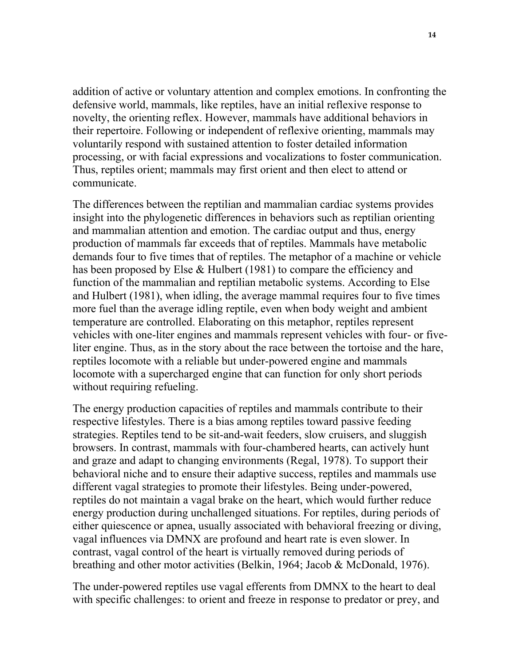addition of active or voluntary attention and complex emotions. In confronting the defensive world, mammals, like reptiles, have an initial reflexive response to novelty, the orienting reflex. However, mammals have additional behaviors in their repertoire. Following or independent of reflexive orienting, mammals may voluntarily respond with sustained attention to foster detailed information processing, or with facial expressions and vocalizations to foster communication. Thus, reptiles orient; mammals may first orient and then elect to attend or communicate.

The differences between the reptilian and mammalian cardiac systems provides insight into the phylogenetic differences in behaviors such as reptilian orienting and mammalian attention and emotion. The cardiac output and thus, energy production of mammals far exceeds that of reptiles. Mammals have metabolic demands four to five times that of reptiles. The metaphor of a machine or vehicle has been proposed by Else & Hulbert (1981) to compare the efficiency and function of the mammalian and reptilian metabolic systems. According to Else and Hulbert (1981), when idling, the average mammal requires four to five times more fuel than the average idling reptile, even when body weight and ambient temperature are controlled. Elaborating on this metaphor, reptiles represent vehicles with one-liter engines and mammals represent vehicles with four- or fiveliter engine. Thus, as in the story about the race between the tortoise and the hare, reptiles locomote with a reliable but under-powered engine and mammals locomote with a supercharged engine that can function for only short periods without requiring refueling.

The energy production capacities of reptiles and mammals contribute to their respective lifestyles. There is a bias among reptiles toward passive feeding strategies. Reptiles tend to be sit-and-wait feeders, slow cruisers, and sluggish browsers. In contrast, mammals with four-chambered hearts, can actively hunt and graze and adapt to changing environments (Regal, 1978). To support their behavioral niche and to ensure their adaptive success, reptiles and mammals use different vagal strategies to promote their lifestyles. Being under-powered, reptiles do not maintain a vagal brake on the heart, which would further reduce energy production during unchallenged situations. For reptiles, during periods of either quiescence or apnea, usually associated with behavioral freezing or diving, vagal influences via DMNX are profound and heart rate is even slower. In contrast, vagal control of the heart is virtually removed during periods of breathing and other motor activities (Belkin, 1964; Jacob & McDonald, 1976).

The under-powered reptiles use vagal efferents from DMNX to the heart to deal with specific challenges: to orient and freeze in response to predator or prey, and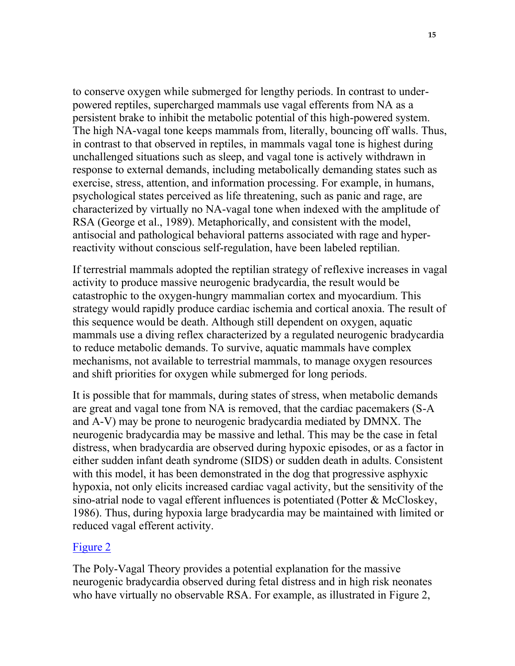to conserve oxygen while submerged for lengthy periods. In contrast to underpowered reptiles, supercharged mammals use vagal efferents from NA as a persistent brake to inhibit the metabolic potential of this high-powered system. The high NA-vagal tone keeps mammals from, literally, bouncing off walls. Thus, in contrast to that observed in reptiles, in mammals vagal tone is highest during unchallenged situations such as sleep, and vagal tone is actively withdrawn in response to external demands, including metabolically demanding states such as exercise, stress, attention, and information processing. For example, in humans, psychological states perceived as life threatening, such as panic and rage, are characterized by virtually no NA-vagal tone when indexed with the amplitude of RSA (George et al., 1989). Metaphorically, and consistent with the model, antisocial and pathological behavioral patterns associated with rage and hyperreactivity without conscious self-regulation, have been labeled reptilian.

If terrestrial mammals adopted the reptilian strategy of reflexive increases in vagal activity to produce massive neurogenic bradycardia, the result would be catastrophic to the oxygen-hungry mammalian cortex and myocardium. This strategy would rapidly produce cardiac ischemia and cortical anoxia. The result of this sequence would be death. Although still dependent on oxygen, aquatic mammals use a diving reflex characterized by a regulated neurogenic bradycardia to reduce metabolic demands. To survive, aquatic mammals have complex mechanisms, not available to terrestrial mammals, to manage oxygen resources and shift priorities for oxygen while submerged for long periods.

It is possible that for mammals, during states of stress, when metabolic demands are great and vagal tone from NA is removed, that the cardiac pacemakers (S-A and A-V) may be prone to neurogenic bradycardia mediated by DMNX. The neurogenic bradycardia may be massive and lethal. This may be the case in fetal distress, when bradycardia are observed during hypoxic episodes, or as a factor in either sudden infant death syndrome (SIDS) or sudden death in adults. Consistent with this model, it has been demonstrated in the dog that progressive asphyxic hypoxia, not only elicits increased cardiac vagal activity, but the sensitivity of the sino-atrial node to vagal efferent influences is potentiated (Potter & McCloskey, 1986). Thus, during hypoxia large bradycardia may be maintained with limited or reduced vagal efferent activity.

#### [Figure 2](http://terpconnect.umd.edu/~sporges/polyvag/polyfig2.gif)

The Poly-Vagal Theory provides a potential explanation for the massive neurogenic bradycardia observed during fetal distress and in high risk neonates who have virtually no observable RSA. For example, as illustrated in Figure 2,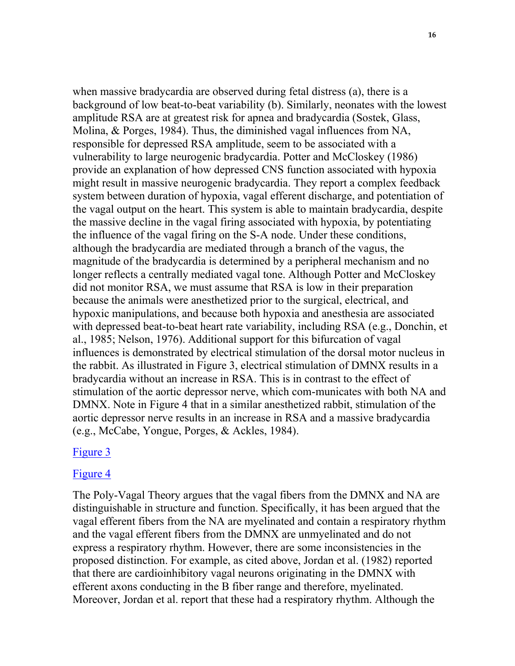when massive bradycardia are observed during fetal distress (a), there is a background of low beat-to-beat variability (b). Similarly, neonates with the lowest amplitude RSA are at greatest risk for apnea and bradycardia (Sostek, Glass, Molina, & Porges, 1984). Thus, the diminished vagal influences from NA, responsible for depressed RSA amplitude, seem to be associated with a vulnerability to large neurogenic bradycardia. Potter and McCloskey (1986) provide an explanation of how depressed CNS function associated with hypoxia might result in massive neurogenic bradycardia. They report a complex feedback system between duration of hypoxia, vagal efferent discharge, and potentiation of the vagal output on the heart. This system is able to maintain bradycardia, despite the massive decline in the vagal firing associated with hypoxia, by potentiating the influence of the vagal firing on the S-A node. Under these conditions, although the bradycardia are mediated through a branch of the vagus, the magnitude of the bradycardia is determined by a peripheral mechanism and no longer reflects a centrally mediated vagal tone. Although Potter and McCloskey did not monitor RSA, we must assume that RSA is low in their preparation because the animals were anesthetized prior to the surgical, electrical, and hypoxic manipulations, and because both hypoxia and anesthesia are associated with depressed beat-to-beat heart rate variability, including RSA (e.g., Donchin, et al., 1985; Nelson, 1976). Additional support for this bifurcation of vagal influences is demonstrated by electrical stimulation of the dorsal motor nucleus in the rabbit. As illustrated in Figure 3, electrical stimulation of DMNX results in a bradycardia without an increase in RSA. This is in contrast to the effect of stimulation of the aortic depressor nerve, which com-municates with both NA and DMNX. Note in Figure 4 that in a similar anesthetized rabbit, stimulation of the aortic depressor nerve results in an increase in RSA and a massive bradycardia (e.g., McCabe, Yongue, Porges, & Ackles, 1984).

#### [Figure 3](http://terpconnect.umd.edu/~sporges/polyvag/polyfig3.gif)

#### [Figure 4](http://terpconnect.umd.edu/~sporges/polyvag/polyfig4.gif)

The Poly-Vagal Theory argues that the vagal fibers from the DMNX and NA are distinguishable in structure and function. Specifically, it has been argued that the vagal efferent fibers from the NA are myelinated and contain a respiratory rhythm and the vagal efferent fibers from the DMNX are unmyelinated and do not express a respiratory rhythm. However, there are some inconsistencies in the proposed distinction. For example, as cited above, Jordan et al. (1982) reported that there are cardioinhibitory vagal neurons originating in the DMNX with efferent axons conducting in the B fiber range and therefore, myelinated. Moreover, Jordan et al. report that these had a respiratory rhythm. Although the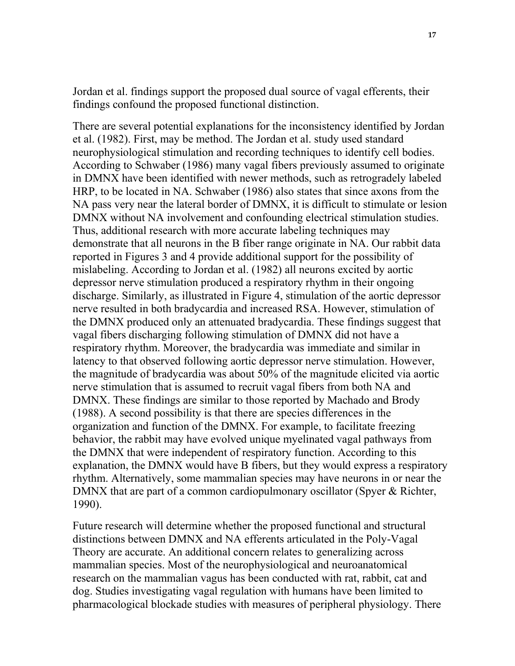Jordan et al. findings support the proposed dual source of vagal efferents, their findings confound the proposed functional distinction.

There are several potential explanations for the inconsistency identified by Jordan et al. (1982). First, may be method. The Jordan et al. study used standard neurophysiological stimulation and recording techniques to identify cell bodies. According to Schwaber (1986) many vagal fibers previously assumed to originate in DMNX have been identified with newer methods, such as retrogradely labeled HRP, to be located in NA. Schwaber (1986) also states that since axons from the NA pass very near the lateral border of DMNX, it is difficult to stimulate or lesion DMNX without NA involvement and confounding electrical stimulation studies. Thus, additional research with more accurate labeling techniques may demonstrate that all neurons in the B fiber range originate in NA. Our rabbit data reported in Figures 3 and 4 provide additional support for the possibility of mislabeling. According to Jordan et al. (1982) all neurons excited by aortic depressor nerve stimulation produced a respiratory rhythm in their ongoing discharge. Similarly, as illustrated in Figure 4, stimulation of the aortic depressor nerve resulted in both bradycardia and increased RSA. However, stimulation of the DMNX produced only an attenuated bradycardia. These findings suggest that vagal fibers discharging following stimulation of DMNX did not have a respiratory rhythm. Moreover, the bradycardia was immediate and similar in latency to that observed following aortic depressor nerve stimulation. However, the magnitude of bradycardia was about 50% of the magnitude elicited via aortic nerve stimulation that is assumed to recruit vagal fibers from both NA and DMNX. These findings are similar to those reported by Machado and Brody (1988). A second possibility is that there are species differences in the organization and function of the DMNX. For example, to facilitate freezing behavior, the rabbit may have evolved unique myelinated vagal pathways from the DMNX that were independent of respiratory function. According to this explanation, the DMNX would have B fibers, but they would express a respiratory rhythm. Alternatively, some mammalian species may have neurons in or near the DMNX that are part of a common cardiopulmonary oscillator (Spyer & Richter, 1990).

Future research will determine whether the proposed functional and structural distinctions between DMNX and NA efferents articulated in the Poly-Vagal Theory are accurate. An additional concern relates to generalizing across mammalian species. Most of the neurophysiological and neuroanatomical research on the mammalian vagus has been conducted with rat, rabbit, cat and dog. Studies investigating vagal regulation with humans have been limited to pharmacological blockade studies with measures of peripheral physiology. There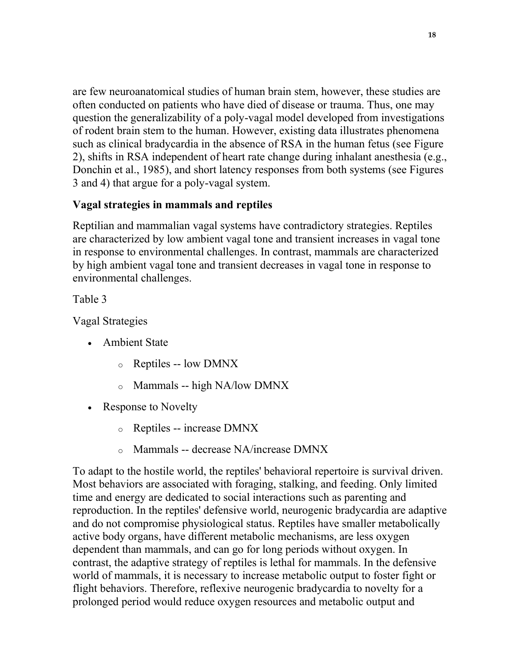are few neuroanatomical studies of human brain stem, however, these studies are often conducted on patients who have died of disease or trauma. Thus, one may question the generalizability of a poly-vagal model developed from investigations of rodent brain stem to the human. However, existing data illustrates phenomena such as clinical bradycardia in the absence of RSA in the human fetus (see Figure 2), shifts in RSA independent of heart rate change during inhalant anesthesia (e.g., Donchin et al., 1985), and short latency responses from both systems (see Figures 3 and 4) that argue for a poly-vagal system.

### **Vagal strategies in mammals and reptiles**

Reptilian and mammalian vagal systems have contradictory strategies. Reptiles are characterized by low ambient vagal tone and transient increases in vagal tone in response to environmental challenges. In contrast, mammals are characterized by high ambient vagal tone and transient decreases in vagal tone in response to environmental challenges.

Table 3

Vagal Strategies

- Ambient State
	- o Reptiles -- low DMNX
	- o Mammals -- high NA/low DMNX
- Response to Novelty
	- o Reptiles -- increase DMNX
	- o Mammals -- decrease NA/increase DMNX

To adapt to the hostile world, the reptiles' behavioral repertoire is survival driven. Most behaviors are associated with foraging, stalking, and feeding. Only limited time and energy are dedicated to social interactions such as parenting and reproduction. In the reptiles' defensive world, neurogenic bradycardia are adaptive and do not compromise physiological status. Reptiles have smaller metabolically active body organs, have different metabolic mechanisms, are less oxygen dependent than mammals, and can go for long periods without oxygen. In contrast, the adaptive strategy of reptiles is lethal for mammals. In the defensive world of mammals, it is necessary to increase metabolic output to foster fight or flight behaviors. Therefore, reflexive neurogenic bradycardia to novelty for a prolonged period would reduce oxygen resources and metabolic output and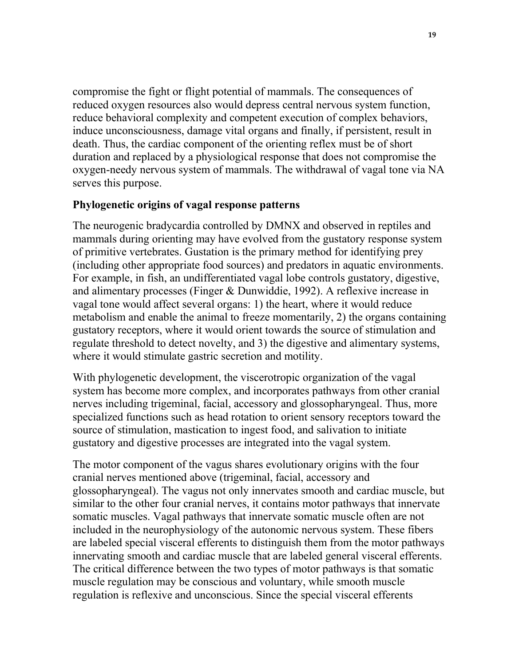compromise the fight or flight potential of mammals. The consequences of reduced oxygen resources also would depress central nervous system function, reduce behavioral complexity and competent execution of complex behaviors, induce unconsciousness, damage vital organs and finally, if persistent, result in death. Thus, the cardiac component of the orienting reflex must be of short duration and replaced by a physiological response that does not compromise the oxygen-needy nervous system of mammals. The withdrawal of vagal tone via NA serves this purpose.

#### **Phylogenetic origins of vagal response patterns**

The neurogenic bradycardia controlled by DMNX and observed in reptiles and mammals during orienting may have evolved from the gustatory response system of primitive vertebrates. Gustation is the primary method for identifying prey (including other appropriate food sources) and predators in aquatic environments. For example, in fish, an undifferentiated vagal lobe controls gustatory, digestive, and alimentary processes (Finger & Dunwiddie, 1992). A reflexive increase in vagal tone would affect several organs: 1) the heart, where it would reduce metabolism and enable the animal to freeze momentarily, 2) the organs containing gustatory receptors, where it would orient towards the source of stimulation and regulate threshold to detect novelty, and 3) the digestive and alimentary systems, where it would stimulate gastric secretion and motility.

With phylogenetic development, the viscerotropic organization of the vagal system has become more complex, and incorporates pathways from other cranial nerves including trigeminal, facial, accessory and glossopharyngeal. Thus, more specialized functions such as head rotation to orient sensory receptors toward the source of stimulation, mastication to ingest food, and salivation to initiate gustatory and digestive processes are integrated into the vagal system.

The motor component of the vagus shares evolutionary origins with the four cranial nerves mentioned above (trigeminal, facial, accessory and glossopharyngeal). The vagus not only innervates smooth and cardiac muscle, but similar to the other four cranial nerves, it contains motor pathways that innervate somatic muscles. Vagal pathways that innervate somatic muscle often are not included in the neurophysiology of the autonomic nervous system. These fibers are labeled special visceral efferents to distinguish them from the motor pathways innervating smooth and cardiac muscle that are labeled general visceral efferents. The critical difference between the two types of motor pathways is that somatic muscle regulation may be conscious and voluntary, while smooth muscle regulation is reflexive and unconscious. Since the special visceral efferents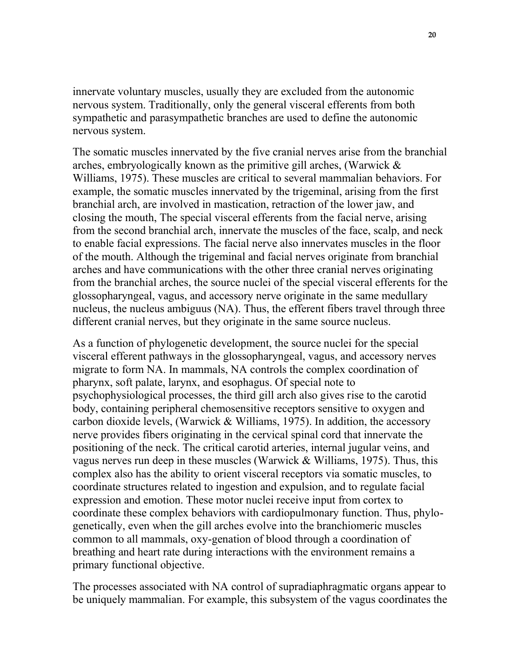innervate voluntary muscles, usually they are excluded from the autonomic nervous system. Traditionally, only the general visceral efferents from both sympathetic and parasympathetic branches are used to define the autonomic nervous system.

The somatic muscles innervated by the five cranial nerves arise from the branchial arches, embryologically known as the primitive gill arches, (Warwick & Williams, 1975). These muscles are critical to several mammalian behaviors. For example, the somatic muscles innervated by the trigeminal, arising from the first branchial arch, are involved in mastication, retraction of the lower jaw, and closing the mouth, The special visceral efferents from the facial nerve, arising from the second branchial arch, innervate the muscles of the face, scalp, and neck to enable facial expressions. The facial nerve also innervates muscles in the floor of the mouth. Although the trigeminal and facial nerves originate from branchial arches and have communications with the other three cranial nerves originating from the branchial arches, the source nuclei of the special visceral efferents for the glossopharyngeal, vagus, and accessory nerve originate in the same medullary nucleus, the nucleus ambiguus (NA). Thus, the efferent fibers travel through three different cranial nerves, but they originate in the same source nucleus.

As a function of phylogenetic development, the source nuclei for the special visceral efferent pathways in the glossopharyngeal, vagus, and accessory nerves migrate to form NA. In mammals, NA controls the complex coordination of pharynx, soft palate, larynx, and esophagus. Of special note to psychophysiological processes, the third gill arch also gives rise to the carotid body, containing peripheral chemosensitive receptors sensitive to oxygen and carbon dioxide levels, (Warwick & Williams, 1975). In addition, the accessory nerve provides fibers originating in the cervical spinal cord that innervate the positioning of the neck. The critical carotid arteries, internal jugular veins, and vagus nerves run deep in these muscles (Warwick & Williams, 1975). Thus, this complex also has the ability to orient visceral receptors via somatic muscles, to coordinate structures related to ingestion and expulsion, and to regulate facial expression and emotion. These motor nuclei receive input from cortex to coordinate these complex behaviors with cardiopulmonary function. Thus, phylogenetically, even when the gill arches evolve into the branchiomeric muscles common to all mammals, oxy-genation of blood through a coordination of breathing and heart rate during interactions with the environment remains a primary functional objective.

The processes associated with NA control of supradiaphragmatic organs appear to be uniquely mammalian. For example, this subsystem of the vagus coordinates the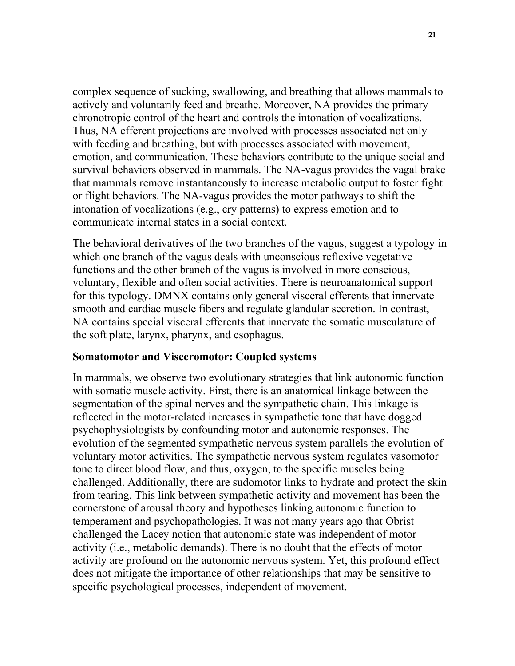complex sequence of sucking, swallowing, and breathing that allows mammals to actively and voluntarily feed and breathe. Moreover, NA provides the primary chronotropic control of the heart and controls the intonation of vocalizations. Thus, NA efferent projections are involved with processes associated not only with feeding and breathing, but with processes associated with movement, emotion, and communication. These behaviors contribute to the unique social and survival behaviors observed in mammals. The NA-vagus provides the vagal brake that mammals remove instantaneously to increase metabolic output to foster fight or flight behaviors. The NA-vagus provides the motor pathways to shift the intonation of vocalizations (e.g., cry patterns) to express emotion and to communicate internal states in a social context.

The behavioral derivatives of the two branches of the vagus, suggest a typology in which one branch of the vagus deals with unconscious reflexive vegetative functions and the other branch of the vagus is involved in more conscious, voluntary, flexible and often social activities. There is neuroanatomical support for this typology. DMNX contains only general visceral efferents that innervate smooth and cardiac muscle fibers and regulate glandular secretion. In contrast, NA contains special visceral efferents that innervate the somatic musculature of the soft plate, larynx, pharynx, and esophagus.

#### **Somatomotor and Visceromotor: Coupled systems**

In mammals, we observe two evolutionary strategies that link autonomic function with somatic muscle activity. First, there is an anatomical linkage between the segmentation of the spinal nerves and the sympathetic chain. This linkage is reflected in the motor-related increases in sympathetic tone that have dogged psychophysiologists by confounding motor and autonomic responses. The evolution of the segmented sympathetic nervous system parallels the evolution of voluntary motor activities. The sympathetic nervous system regulates vasomotor tone to direct blood flow, and thus, oxygen, to the specific muscles being challenged. Additionally, there are sudomotor links to hydrate and protect the skin from tearing. This link between sympathetic activity and movement has been the cornerstone of arousal theory and hypotheses linking autonomic function to temperament and psychopathologies. It was not many years ago that Obrist challenged the Lacey notion that autonomic state was independent of motor activity (i.e., metabolic demands). There is no doubt that the effects of motor activity are profound on the autonomic nervous system. Yet, this profound effect does not mitigate the importance of other relationships that may be sensitive to specific psychological processes, independent of movement.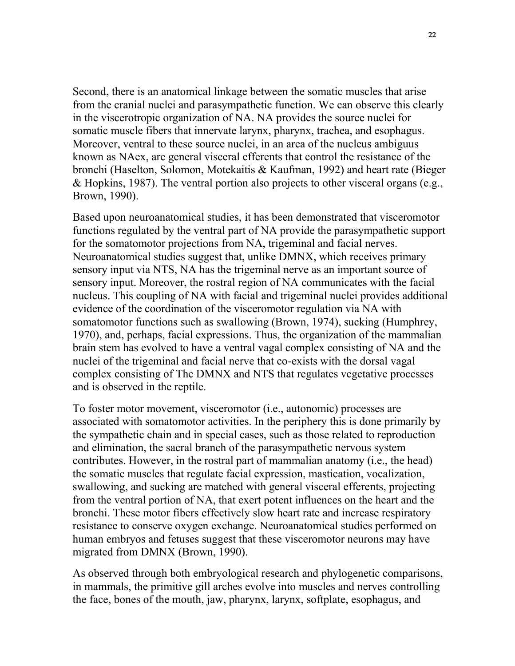Second, there is an anatomical linkage between the somatic muscles that arise from the cranial nuclei and parasympathetic function. We can observe this clearly in the viscerotropic organization of NA. NA provides the source nuclei for somatic muscle fibers that innervate larynx, pharynx, trachea, and esophagus. Moreover, ventral to these source nuclei, in an area of the nucleus ambiguus known as NAex, are general visceral efferents that control the resistance of the bronchi (Haselton, Solomon, Motekaitis & Kaufman, 1992) and heart rate (Bieger & Hopkins, 1987). The ventral portion also projects to other visceral organs (e.g., Brown, 1990).

Based upon neuroanatomical studies, it has been demonstrated that visceromotor functions regulated by the ventral part of NA provide the parasympathetic support for the somatomotor projections from NA, trigeminal and facial nerves. Neuroanatomical studies suggest that, unlike DMNX, which receives primary sensory input via NTS, NA has the trigeminal nerve as an important source of sensory input. Moreover, the rostral region of NA communicates with the facial nucleus. This coupling of NA with facial and trigeminal nuclei provides additional evidence of the coordination of the visceromotor regulation via NA with somatomotor functions such as swallowing (Brown, 1974), sucking (Humphrey, 1970), and, perhaps, facial expressions. Thus, the organization of the mammalian brain stem has evolved to have a ventral vagal complex consisting of NA and the nuclei of the trigeminal and facial nerve that co-exists with the dorsal vagal complex consisting of The DMNX and NTS that regulates vegetative processes and is observed in the reptile.

To foster motor movement, visceromotor (i.e., autonomic) processes are associated with somatomotor activities. In the periphery this is done primarily by the sympathetic chain and in special cases, such as those related to reproduction and elimination, the sacral branch of the parasympathetic nervous system contributes. However, in the rostral part of mammalian anatomy (i.e., the head) the somatic muscles that regulate facial expression, mastication, vocalization, swallowing, and sucking are matched with general visceral efferents, projecting from the ventral portion of NA, that exert potent influences on the heart and the bronchi. These motor fibers effectively slow heart rate and increase respiratory resistance to conserve oxygen exchange. Neuroanatomical studies performed on human embryos and fetuses suggest that these visceromotor neurons may have migrated from DMNX (Brown, 1990).

As observed through both embryological research and phylogenetic comparisons, in mammals, the primitive gill arches evolve into muscles and nerves controlling the face, bones of the mouth, jaw, pharynx, larynx, softplate, esophagus, and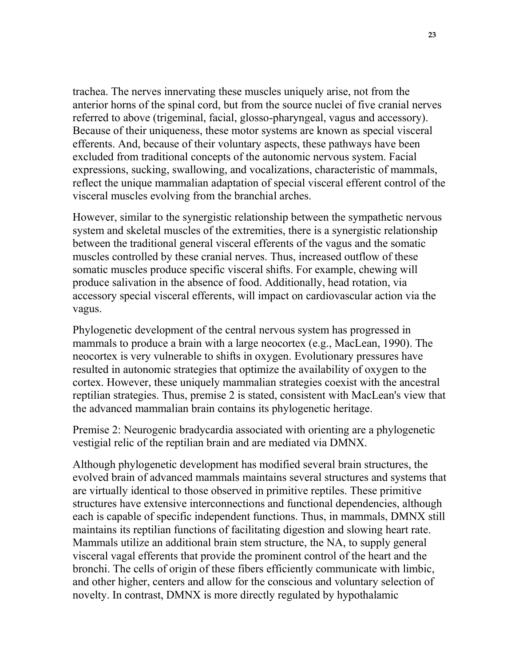trachea. The nerves innervating these muscles uniquely arise, not from the anterior horns of the spinal cord, but from the source nuclei of five cranial nerves referred to above (trigeminal, facial, glosso-pharyngeal, vagus and accessory). Because of their uniqueness, these motor systems are known as special visceral efferents. And, because of their voluntary aspects, these pathways have been excluded from traditional concepts of the autonomic nervous system. Facial expressions, sucking, swallowing, and vocalizations, characteristic of mammals, reflect the unique mammalian adaptation of special visceral efferent control of the visceral muscles evolving from the branchial arches.

However, similar to the synergistic relationship between the sympathetic nervous system and skeletal muscles of the extremities, there is a synergistic relationship between the traditional general visceral efferents of the vagus and the somatic muscles controlled by these cranial nerves. Thus, increased outflow of these somatic muscles produce specific visceral shifts. For example, chewing will produce salivation in the absence of food. Additionally, head rotation, via accessory special visceral efferents, will impact on cardiovascular action via the vagus.

Phylogenetic development of the central nervous system has progressed in mammals to produce a brain with a large neocortex (e.g., MacLean, 1990). The neocortex is very vulnerable to shifts in oxygen. Evolutionary pressures have resulted in autonomic strategies that optimize the availability of oxygen to the cortex. However, these uniquely mammalian strategies coexist with the ancestral reptilian strategies. Thus, premise 2 is stated, consistent with MacLean's view that the advanced mammalian brain contains its phylogenetic heritage.

Premise 2: Neurogenic bradycardia associated with orienting are a phylogenetic vestigial relic of the reptilian brain and are mediated via DMNX.

Although phylogenetic development has modified several brain structures, the evolved brain of advanced mammals maintains several structures and systems that are virtually identical to those observed in primitive reptiles. These primitive structures have extensive interconnections and functional dependencies, although each is capable of specific independent functions. Thus, in mammals, DMNX still maintains its reptilian functions of facilitating digestion and slowing heart rate. Mammals utilize an additional brain stem structure, the NA, to supply general visceral vagal efferents that provide the prominent control of the heart and the bronchi. The cells of origin of these fibers efficiently communicate with limbic, and other higher, centers and allow for the conscious and voluntary selection of novelty. In contrast, DMNX is more directly regulated by hypothalamic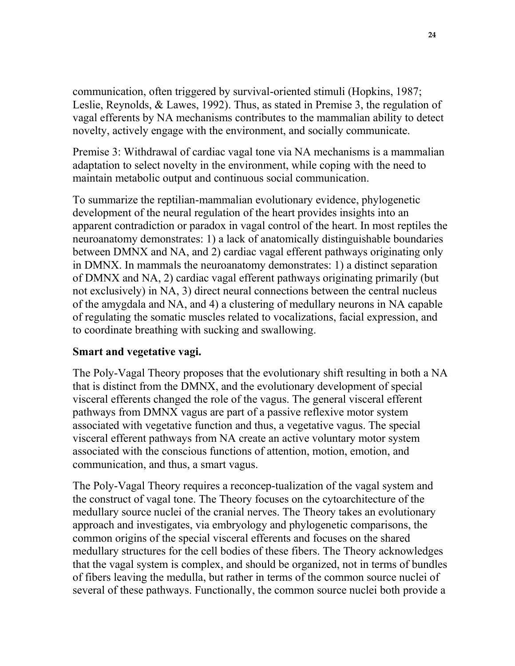communication, often triggered by survival-oriented stimuli (Hopkins, 1987; Leslie, Reynolds, & Lawes, 1992). Thus, as stated in Premise 3, the regulation of vagal efferents by NA mechanisms contributes to the mammalian ability to detect novelty, actively engage with the environment, and socially communicate.

Premise 3: Withdrawal of cardiac vagal tone via NA mechanisms is a mammalian adaptation to select novelty in the environment, while coping with the need to maintain metabolic output and continuous social communication.

To summarize the reptilian-mammalian evolutionary evidence, phylogenetic development of the neural regulation of the heart provides insights into an apparent contradiction or paradox in vagal control of the heart. In most reptiles the neuroanatomy demonstrates: 1) a lack of anatomically distinguishable boundaries between DMNX and NA, and 2) cardiac vagal efferent pathways originating only in DMNX. In mammals the neuroanatomy demonstrates: 1) a distinct separation of DMNX and NA, 2) cardiac vagal efferent pathways originating primarily (but not exclusively) in NA, 3) direct neural connections between the central nucleus of the amygdala and NA, and 4) a clustering of medullary neurons in NA capable of regulating the somatic muscles related to vocalizations, facial expression, and to coordinate breathing with sucking and swallowing.

#### **Smart and vegetative vagi.**

The Poly-Vagal Theory proposes that the evolutionary shift resulting in both a NA that is distinct from the DMNX, and the evolutionary development of special visceral efferents changed the role of the vagus. The general visceral efferent pathways from DMNX vagus are part of a passive reflexive motor system associated with vegetative function and thus, a vegetative vagus. The special visceral efferent pathways from NA create an active voluntary motor system associated with the conscious functions of attention, motion, emotion, and communication, and thus, a smart vagus.

The Poly-Vagal Theory requires a reconcep-tualization of the vagal system and the construct of vagal tone. The Theory focuses on the cytoarchitecture of the medullary source nuclei of the cranial nerves. The Theory takes an evolutionary approach and investigates, via embryology and phylogenetic comparisons, the common origins of the special visceral efferents and focuses on the shared medullary structures for the cell bodies of these fibers. The Theory acknowledges that the vagal system is complex, and should be organized, not in terms of bundles of fibers leaving the medulla, but rather in terms of the common source nuclei of several of these pathways. Functionally, the common source nuclei both provide a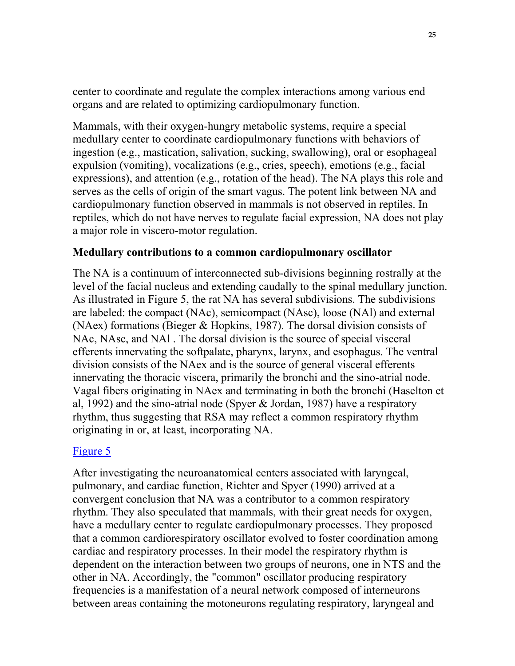center to coordinate and regulate the complex interactions among various end organs and are related to optimizing cardiopulmonary function.

Mammals, with their oxygen-hungry metabolic systems, require a special medullary center to coordinate cardiopulmonary functions with behaviors of ingestion (e.g., mastication, salivation, sucking, swallowing), oral or esophageal expulsion (vomiting), vocalizations (e.g., cries, speech), emotions (e.g., facial expressions), and attention (e.g., rotation of the head). The NA plays this role and serves as the cells of origin of the smart vagus. The potent link between NA and cardiopulmonary function observed in mammals is not observed in reptiles. In reptiles, which do not have nerves to regulate facial expression, NA does not play a major role in viscero-motor regulation.

#### **Medullary contributions to a common cardiopulmonary oscillator**

The NA is a continuum of interconnected sub-divisions beginning rostrally at the level of the facial nucleus and extending caudally to the spinal medullary junction. As illustrated in Figure 5, the rat NA has several subdivisions. The subdivisions are labeled: the compact (NAc), semicompact (NAsc), loose (NAl) and external (NAex) formations (Bieger & Hopkins, 1987). The dorsal division consists of NAc, NAsc, and NAl . The dorsal division is the source of special visceral efferents innervating the softpalate, pharynx, larynx, and esophagus. The ventral division consists of the NAex and is the source of general visceral efferents innervating the thoracic viscera, primarily the bronchi and the sino-atrial node. Vagal fibers originating in NAex and terminating in both the bronchi (Haselton et al, 1992) and the sino-atrial node (Spyer & Jordan, 1987) have a respiratory rhythm, thus suggesting that RSA may reflect a common respiratory rhythm originating in or, at least, incorporating NA.

#### [Figure 5](http://terpconnect.umd.edu/~sporges/polyvag/polyfig5.gif)

After investigating the neuroanatomical centers associated with laryngeal, pulmonary, and cardiac function, Richter and Spyer (1990) arrived at a convergent conclusion that NA was a contributor to a common respiratory rhythm. They also speculated that mammals, with their great needs for oxygen, have a medullary center to regulate cardiopulmonary processes. They proposed that a common cardiorespiratory oscillator evolved to foster coordination among cardiac and respiratory processes. In their model the respiratory rhythm is dependent on the interaction between two groups of neurons, one in NTS and the other in NA. Accordingly, the "common" oscillator producing respiratory frequencies is a manifestation of a neural network composed of interneurons between areas containing the motoneurons regulating respiratory, laryngeal and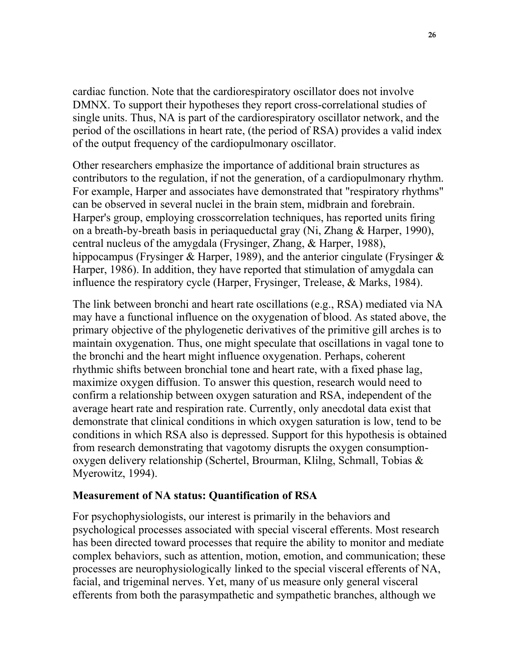cardiac function. Note that the cardiorespiratory oscillator does not involve DMNX. To support their hypotheses they report cross-correlational studies of single units. Thus, NA is part of the cardiorespiratory oscillator network, and the period of the oscillations in heart rate, (the period of RSA) provides a valid index of the output frequency of the cardiopulmonary oscillator.

Other researchers emphasize the importance of additional brain structures as contributors to the regulation, if not the generation, of a cardiopulmonary rhythm. For example, Harper and associates have demonstrated that "respiratory rhythms" can be observed in several nuclei in the brain stem, midbrain and forebrain. Harper's group, employing crosscorrelation techniques, has reported units firing on a breath-by-breath basis in periaqueductal gray (Ni, Zhang & Harper, 1990), central nucleus of the amygdala (Frysinger, Zhang, & Harper, 1988), hippocampus (Frysinger & Harper, 1989), and the anterior cingulate (Frysinger & Harper, 1986). In addition, they have reported that stimulation of amygdala can influence the respiratory cycle (Harper, Frysinger, Trelease, & Marks, 1984).

The link between bronchi and heart rate oscillations (e.g., RSA) mediated via NA may have a functional influence on the oxygenation of blood. As stated above, the primary objective of the phylogenetic derivatives of the primitive gill arches is to maintain oxygenation. Thus, one might speculate that oscillations in vagal tone to the bronchi and the heart might influence oxygenation. Perhaps, coherent rhythmic shifts between bronchial tone and heart rate, with a fixed phase lag, maximize oxygen diffusion. To answer this question, research would need to confirm a relationship between oxygen saturation and RSA, independent of the average heart rate and respiration rate. Currently, only anecdotal data exist that demonstrate that clinical conditions in which oxygen saturation is low, tend to be conditions in which RSA also is depressed. Support for this hypothesis is obtained from research demonstrating that vagotomy disrupts the oxygen consumptionoxygen delivery relationship (Schertel, Brourman, Klilng, Schmall, Tobias & Myerowitz, 1994).

#### **Measurement of NA status: Quantification of RSA**

For psychophysiologists, our interest is primarily in the behaviors and psychological processes associated with special visceral efferents. Most research has been directed toward processes that require the ability to monitor and mediate complex behaviors, such as attention, motion, emotion, and communication; these processes are neurophysiologically linked to the special visceral efferents of NA, facial, and trigeminal nerves. Yet, many of us measure only general visceral efferents from both the parasympathetic and sympathetic branches, although we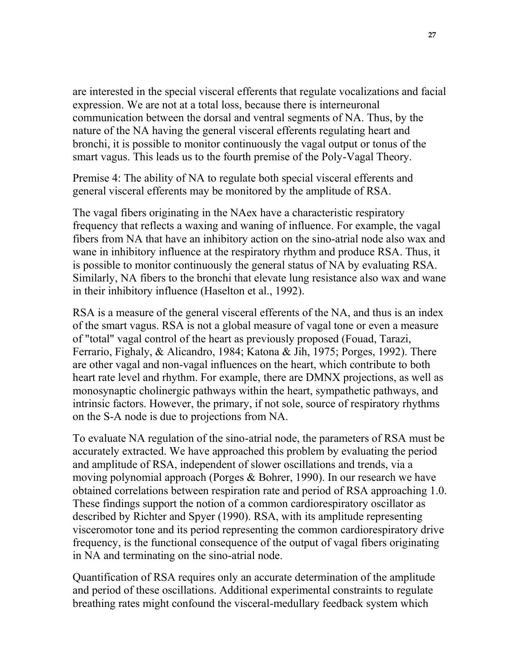are interested in the special visceral efferents that regulate vocalizations and facial expression. We are not at a total loss, because there is interneuronal communication between the dorsal and ventral segments of NA. Thus, by the nature of the NA having the general visceral efferents regulating heart and bronchi, it is possible to monitor continuously the vagal output or tonus of the smart vagus. This leads us to the fourth premise of the Poly-Vagal Theory.

Premise 4: The ability of NA to regulate both special visceral efferents and general visceral efferents may be monitored by the amplitude of RSA.

The vagal fibers originating in the NAex have a characteristic respiratory frequency that reflects a waxing and waning of influence. For example, the vagal fibers from NA that have an inhibitory action on the sino-atrial node also wax and wane in inhibitory influence at the respiratory rhythm and produce RSA. Thus, it is possible to monitor continuously the general status of NA by evaluating RSA. Similarly, NA fibers to the bronchi that elevate lung resistance also wax and wane in their inhibitory influence (Haselton et al., 1992).

RSA is a measure of the general visceral efferents of the NA, and thus is an index of the smart vagus. RSA is not a global measure of vagal tone or even a measure of "total" vagal control of the heart as previously proposed (Fouad, Tarazi, Ferrario, Fighaly, & Alicandro, 1984; Katona & Jih, 1975; Porges, 1992). There are other vagal and non-vagal influences on the heart, which contribute to both heart rate level and rhythm. For example, there are DMNX projections, as well as monosynaptic cholinergic pathways within the heart, sympathetic pathways, and intrinsic factors. However, the primary, if not sole, source of respiratory rhythms on the S-A node is due to projections from NA.

To evaluate NA regulation of the sino-atrial node, the parameters of RSA must be accurately extracted. We have approached this problem by evaluating the period and amplitude of RSA, independent of slower oscillations and trends, via a moving polynomial approach (Porges & Bohrer, 1990). In our research we have obtained correlations between respiration rate and period of RSA approaching 1.0. These findings support the notion of a common cardiorespiratory oscillator as described by Richter and Spyer (1990). RSA, with its amplitude representing visceromotor tone and its period representing the common cardiorespiratory drive frequency, is the functional consequence of the output of vagal fibers originating in NA and terminating on the sino-atrial node.

Quantification of RSA requires only an accurate determination of the amplitude and period of these oscillations. Additional experimental constraints to regulate breathing rates might confound the visceral-medullary feedback system which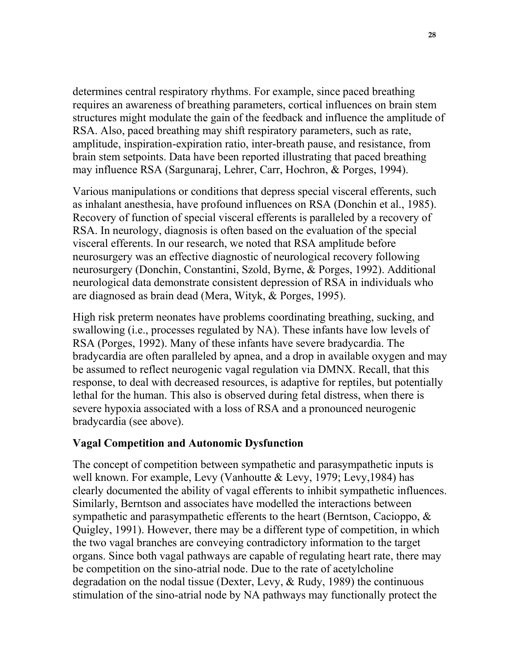determines central respiratory rhythms. For example, since paced breathing requires an awareness of breathing parameters, cortical influences on brain stem structures might modulate the gain of the feedback and influence the amplitude of RSA. Also, paced breathing may shift respiratory parameters, such as rate, amplitude, inspiration-expiration ratio, inter-breath pause, and resistance, from brain stem setpoints. Data have been reported illustrating that paced breathing may influence RSA (Sargunaraj, Lehrer, Carr, Hochron, & Porges, 1994).

Various manipulations or conditions that depress special visceral efferents, such as inhalant anesthesia, have profound influences on RSA (Donchin et al., 1985). Recovery of function of special visceral efferents is paralleled by a recovery of RSA. In neurology, diagnosis is often based on the evaluation of the special visceral efferents. In our research, we noted that RSA amplitude before neurosurgery was an effective diagnostic of neurological recovery following neurosurgery (Donchin, Constantini, Szold, Byrne, & Porges, 1992). Additional neurological data demonstrate consistent depression of RSA in individuals who are diagnosed as brain dead (Mera, Wityk, & Porges, 1995).

High risk preterm neonates have problems coordinating breathing, sucking, and swallowing (i.e., processes regulated by NA). These infants have low levels of RSA (Porges, 1992). Many of these infants have severe bradycardia. The bradycardia are often paralleled by apnea, and a drop in available oxygen and may be assumed to reflect neurogenic vagal regulation via DMNX. Recall, that this response, to deal with decreased resources, is adaptive for reptiles, but potentially lethal for the human. This also is observed during fetal distress, when there is severe hypoxia associated with a loss of RSA and a pronounced neurogenic bradycardia (see above).

#### **Vagal Competition and Autonomic Dysfunction**

The concept of competition between sympathetic and parasympathetic inputs is well known. For example, Levy (Vanhoutte & Levy, 1979; Levy,1984) has clearly documented the ability of vagal efferents to inhibit sympathetic influences. Similarly, Berntson and associates have modelled the interactions between sympathetic and parasympathetic efferents to the heart (Berntson, Cacioppo, & Quigley, 1991). However, there may be a different type of competition, in which the two vagal branches are conveying contradictory information to the target organs. Since both vagal pathways are capable of regulating heart rate, there may be competition on the sino-atrial node. Due to the rate of acetylcholine degradation on the nodal tissue (Dexter, Levy, & Rudy, 1989) the continuous stimulation of the sino-atrial node by NA pathways may functionally protect the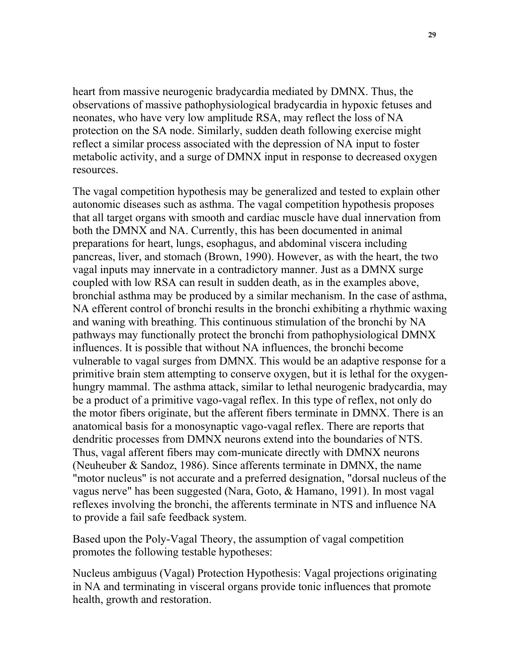heart from massive neurogenic bradycardia mediated by DMNX. Thus, the observations of massive pathophysiological bradycardia in hypoxic fetuses and neonates, who have very low amplitude RSA, may reflect the loss of NA protection on the SA node. Similarly, sudden death following exercise might reflect a similar process associated with the depression of NA input to foster metabolic activity, and a surge of DMNX input in response to decreased oxygen resources.

The vagal competition hypothesis may be generalized and tested to explain other autonomic diseases such as asthma. The vagal competition hypothesis proposes that all target organs with smooth and cardiac muscle have dual innervation from both the DMNX and NA. Currently, this has been documented in animal preparations for heart, lungs, esophagus, and abdominal viscera including pancreas, liver, and stomach (Brown, 1990). However, as with the heart, the two vagal inputs may innervate in a contradictory manner. Just as a DMNX surge coupled with low RSA can result in sudden death, as in the examples above, bronchial asthma may be produced by a similar mechanism. In the case of asthma, NA efferent control of bronchi results in the bronchi exhibiting a rhythmic waxing and waning with breathing. This continuous stimulation of the bronchi by NA pathways may functionally protect the bronchi from pathophysiological DMNX influences. It is possible that without NA influences, the bronchi become vulnerable to vagal surges from DMNX. This would be an adaptive response for a primitive brain stem attempting to conserve oxygen, but it is lethal for the oxygenhungry mammal. The asthma attack, similar to lethal neurogenic bradycardia, may be a product of a primitive vago-vagal reflex. In this type of reflex, not only do the motor fibers originate, but the afferent fibers terminate in DMNX. There is an anatomical basis for a monosynaptic vago-vagal reflex. There are reports that dendritic processes from DMNX neurons extend into the boundaries of NTS. Thus, vagal afferent fibers may com-municate directly with DMNX neurons (Neuheuber & Sandoz, 1986). Since afferents terminate in DMNX, the name "motor nucleus" is not accurate and a preferred designation, "dorsal nucleus of the vagus nerve" has been suggested (Nara, Goto, & Hamano, 1991). In most vagal reflexes involving the bronchi, the afferents terminate in NTS and influence NA to provide a fail safe feedback system.

Based upon the Poly-Vagal Theory, the assumption of vagal competition promotes the following testable hypotheses:

Nucleus ambiguus (Vagal) Protection Hypothesis: Vagal projections originating in NA and terminating in visceral organs provide tonic influences that promote health, growth and restoration.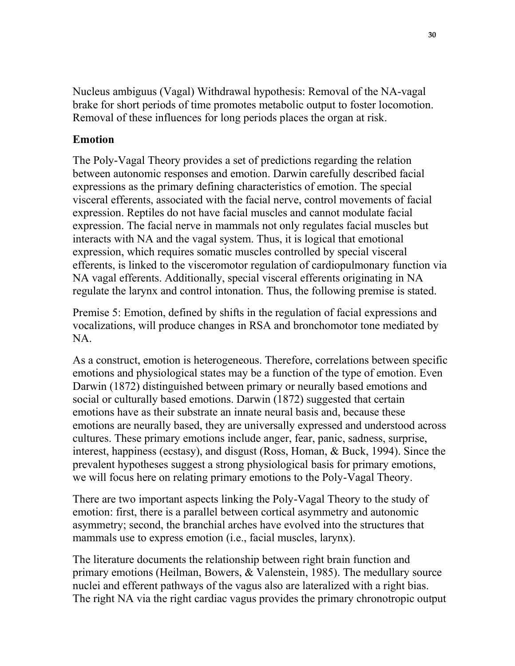Nucleus ambiguus (Vagal) Withdrawal hypothesis: Removal of the NA-vagal brake for short periods of time promotes metabolic output to foster locomotion. Removal of these influences for long periods places the organ at risk.

#### **Emotion**

The Poly-Vagal Theory provides a set of predictions regarding the relation between autonomic responses and emotion. Darwin carefully described facial expressions as the primary defining characteristics of emotion. The special visceral efferents, associated with the facial nerve, control movements of facial expression. Reptiles do not have facial muscles and cannot modulate facial expression. The facial nerve in mammals not only regulates facial muscles but interacts with NA and the vagal system. Thus, it is logical that emotional expression, which requires somatic muscles controlled by special visceral efferents, is linked to the visceromotor regulation of cardiopulmonary function via NA vagal efferents. Additionally, special visceral efferents originating in NA regulate the larynx and control intonation. Thus, the following premise is stated.

Premise 5: Emotion, defined by shifts in the regulation of facial expressions and vocalizations, will produce changes in RSA and bronchomotor tone mediated by NA.

As a construct, emotion is heterogeneous. Therefore, correlations between specific emotions and physiological states may be a function of the type of emotion. Even Darwin (1872) distinguished between primary or neurally based emotions and social or culturally based emotions. Darwin (1872) suggested that certain emotions have as their substrate an innate neural basis and, because these emotions are neurally based, they are universally expressed and understood across cultures. These primary emotions include anger, fear, panic, sadness, surprise, interest, happiness (ecstasy), and disgust (Ross, Homan, & Buck, 1994). Since the prevalent hypotheses suggest a strong physiological basis for primary emotions, we will focus here on relating primary emotions to the Poly-Vagal Theory.

There are two important aspects linking the Poly-Vagal Theory to the study of emotion: first, there is a parallel between cortical asymmetry and autonomic asymmetry; second, the branchial arches have evolved into the structures that mammals use to express emotion (i.e., facial muscles, larynx).

The literature documents the relationship between right brain function and primary emotions (Heilman, Bowers, & Valenstein, 1985). The medullary source nuclei and efferent pathways of the vagus also are lateralized with a right bias. The right NA via the right cardiac vagus provides the primary chronotropic output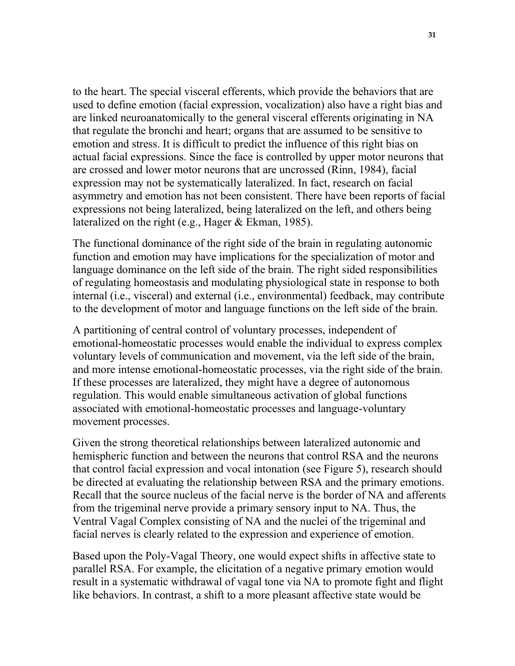to the heart. The special visceral efferents, which provide the behaviors that are used to define emotion (facial expression, vocalization) also have a right bias and are linked neuroanatomically to the general visceral efferents originating in NA that regulate the bronchi and heart; organs that are assumed to be sensitive to emotion and stress. It is difficult to predict the influence of this right bias on actual facial expressions. Since the face is controlled by upper motor neurons that are crossed and lower motor neurons that are uncrossed (Rinn, 1984), facial expression may not be systematically lateralized. In fact, research on facial asymmetry and emotion has not been consistent. There have been reports of facial expressions not being lateralized, being lateralized on the left, and others being lateralized on the right (e.g., Hager & Ekman, 1985).

The functional dominance of the right side of the brain in regulating autonomic function and emotion may have implications for the specialization of motor and language dominance on the left side of the brain. The right sided responsibilities of regulating homeostasis and modulating physiological state in response to both internal (i.e., visceral) and external (i.e., environmental) feedback, may contribute to the development of motor and language functions on the left side of the brain.

A partitioning of central control of voluntary processes, independent of emotional-homeostatic processes would enable the individual to express complex voluntary levels of communication and movement, via the left side of the brain, and more intense emotional-homeostatic processes, via the right side of the brain. If these processes are lateralized, they might have a degree of autonomous regulation. This would enable simultaneous activation of global functions associated with emotional-homeostatic processes and language-voluntary movement processes.

Given the strong theoretical relationships between lateralized autonomic and hemispheric function and between the neurons that control RSA and the neurons that control facial expression and vocal intonation (see Figure 5), research should be directed at evaluating the relationship between RSA and the primary emotions. Recall that the source nucleus of the facial nerve is the border of NA and afferents from the trigeminal nerve provide a primary sensory input to NA. Thus, the Ventral Vagal Complex consisting of NA and the nuclei of the trigeminal and facial nerves is clearly related to the expression and experience of emotion.

Based upon the Poly-Vagal Theory, one would expect shifts in affective state to parallel RSA. For example, the elicitation of a negative primary emotion would result in a systematic withdrawal of vagal tone via NA to promote fight and flight like behaviors. In contrast, a shift to a more pleasant affective state would be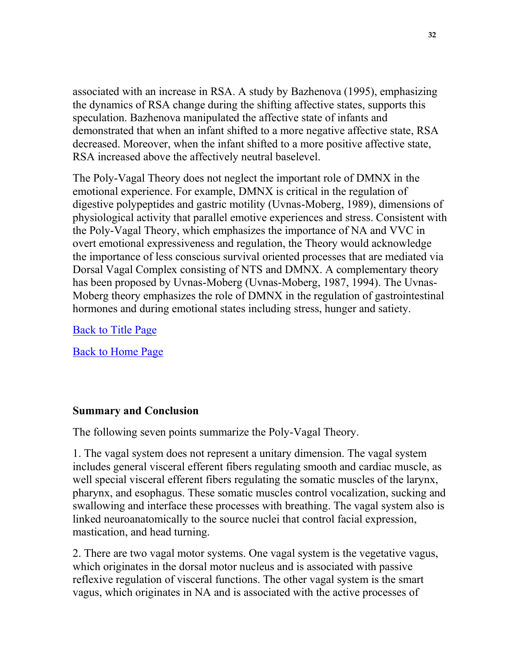associated with an increase in RSA. A study by Bazhenova (1995), emphasizing the dynamics of RSA change during the shifting affective states, supports this speculation. Bazhenova manipulated the affective state of infants and demonstrated that when an infant shifted to a more negative affective state, RSA decreased. Moreover, when the infant shifted to a more positive affective state, RSA increased above the affectively neutral baselevel.

The Poly-Vagal Theory does not neglect the important role of DMNX in the emotional experience. For example, DMNX is critical in the regulation of digestive polypeptides and gastric motility (Uvnas-Moberg, 1989), dimensions of physiological activity that parallel emotive experiences and stress. Consistent with the Poly-Vagal Theory, which emphasizes the importance of NA and VVC in overt emotional expressiveness and regulation, the Theory would acknowledge the importance of less conscious survival oriented processes that are mediated via Dorsal Vagal Complex consisting of NTS and DMNX. A complementary theory has been proposed by Uvnas-Moberg (Uvnas-Moberg, 1987, 1994). The Uvnas-Moberg theory emphasizes the role of DMNX in the regulation of gastrointestinal hormones and during emotional states including stress, hunger and satiety.

[Back to Title Page](http://terpconnect.umd.edu/~sporges/polyvag.htm)

[Back to Home Page](http://terpconnect.umd.edu/~sporges/welcome.htm)

#### **Summary and Conclusion**

The following seven points summarize the Poly-Vagal Theory.

1. The vagal system does not represent a unitary dimension. The vagal system includes general visceral efferent fibers regulating smooth and cardiac muscle, as well special visceral efferent fibers regulating the somatic muscles of the larynx, pharynx, and esophagus. These somatic muscles control vocalization, sucking and swallowing and interface these processes with breathing. The vagal system also is linked neuroanatomically to the source nuclei that control facial expression, mastication, and head turning.

2. There are two vagal motor systems. One vagal system is the vegetative vagus, which originates in the dorsal motor nucleus and is associated with passive reflexive regulation of visceral functions. The other vagal system is the smart vagus, which originates in NA and is associated with the active processes of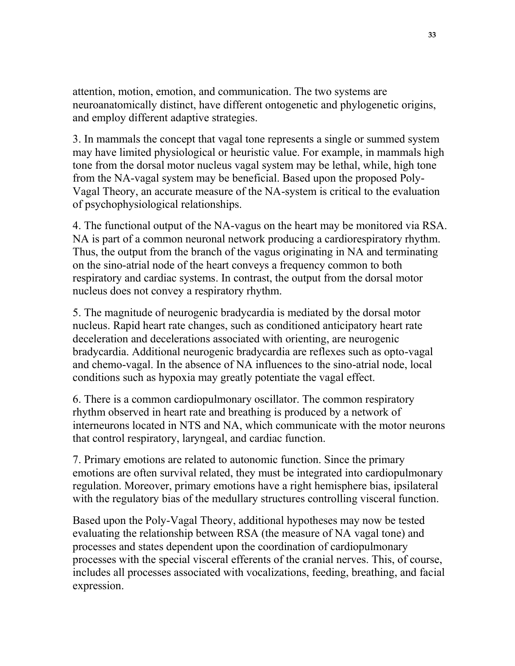attention, motion, emotion, and communication. The two systems are neuroanatomically distinct, have different ontogenetic and phylogenetic origins, and employ different adaptive strategies.

3. In mammals the concept that vagal tone represents a single or summed system may have limited physiological or heuristic value. For example, in mammals high tone from the dorsal motor nucleus vagal system may be lethal, while, high tone from the NA-vagal system may be beneficial. Based upon the proposed Poly-Vagal Theory, an accurate measure of the NA-system is critical to the evaluation of psychophysiological relationships.

4. The functional output of the NA-vagus on the heart may be monitored via RSA. NA is part of a common neuronal network producing a cardiorespiratory rhythm. Thus, the output from the branch of the vagus originating in NA and terminating on the sino-atrial node of the heart conveys a frequency common to both respiratory and cardiac systems. In contrast, the output from the dorsal motor nucleus does not convey a respiratory rhythm.

5. The magnitude of neurogenic bradycardia is mediated by the dorsal motor nucleus. Rapid heart rate changes, such as conditioned anticipatory heart rate deceleration and decelerations associated with orienting, are neurogenic bradycardia. Additional neurogenic bradycardia are reflexes such as opto-vagal and chemo-vagal. In the absence of NA influences to the sino-atrial node, local conditions such as hypoxia may greatly potentiate the vagal effect.

6. There is a common cardiopulmonary oscillator. The common respiratory rhythm observed in heart rate and breathing is produced by a network of interneurons located in NTS and NA, which communicate with the motor neurons that control respiratory, laryngeal, and cardiac function.

7. Primary emotions are related to autonomic function. Since the primary emotions are often survival related, they must be integrated into cardiopulmonary regulation. Moreover, primary emotions have a right hemisphere bias, ipsilateral with the regulatory bias of the medullary structures controlling visceral function.

Based upon the Poly-Vagal Theory, additional hypotheses may now be tested evaluating the relationship between RSA (the measure of NA vagal tone) and processes and states dependent upon the coordination of cardiopulmonary processes with the special visceral efferents of the cranial nerves. This, of course, includes all processes associated with vocalizations, feeding, breathing, and facial expression.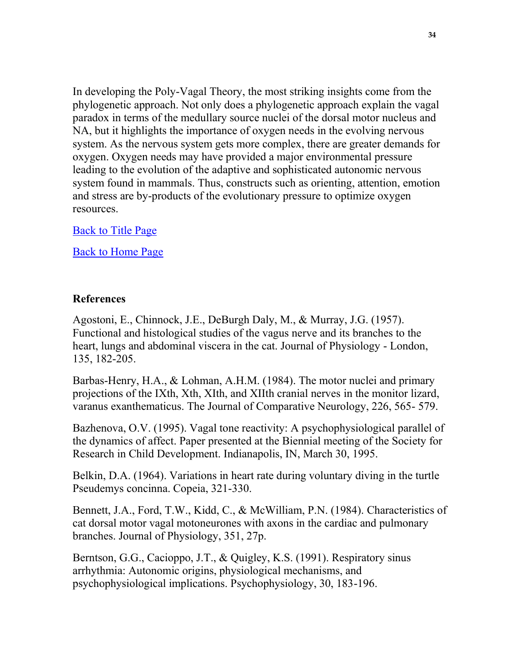In developing the Poly-Vagal Theory, the most striking insights come from the phylogenetic approach. Not only does a phylogenetic approach explain the vagal paradox in terms of the medullary source nuclei of the dorsal motor nucleus and NA, but it highlights the importance of oxygen needs in the evolving nervous system. As the nervous system gets more complex, there are greater demands for oxygen. Oxygen needs may have provided a major environmental pressure leading to the evolution of the adaptive and sophisticated autonomic nervous system found in mammals. Thus, constructs such as orienting, attention, emotion and stress are by-products of the evolutionary pressure to optimize oxygen resources.

[Back to Title Page](http://terpconnect.umd.edu/~sporges/polyvag.htm)

[Back to Home Page](http://terpconnect.umd.edu/~sporges/welcome.htm)

#### **References**

Agostoni, E., Chinnock, J.E., DeBurgh Daly, M., & Murray, J.G. (1957). Functional and histological studies of the vagus nerve and its branches to the heart, lungs and abdominal viscera in the cat. Journal of Physiology - London, 135, 182-205.

Barbas-Henry, H.A., & Lohman, A.H.M. (1984). The motor nuclei and primary projections of the IXth, Xth, XIth, and XIIth cranial nerves in the monitor lizard, varanus exanthematicus. The Journal of Comparative Neurology, 226, 565- 579.

Bazhenova, O.V. (1995). Vagal tone reactivity: A psychophysiological parallel of the dynamics of affect. Paper presented at the Biennial meeting of the Society for Research in Child Development. Indianapolis, IN, March 30, 1995.

Belkin, D.A. (1964). Variations in heart rate during voluntary diving in the turtle Pseudemys concinna. Copeia, 321-330.

Bennett, J.A., Ford, T.W., Kidd, C., & McWilliam, P.N. (1984). Characteristics of cat dorsal motor vagal motoneurones with axons in the cardiac and pulmonary branches. Journal of Physiology, 351, 27p.

Berntson, G.G., Cacioppo, J.T., & Quigley, K.S. (1991). Respiratory sinus arrhythmia: Autonomic origins, physiological mechanisms, and psychophysiological implications. Psychophysiology, 30, 183-196.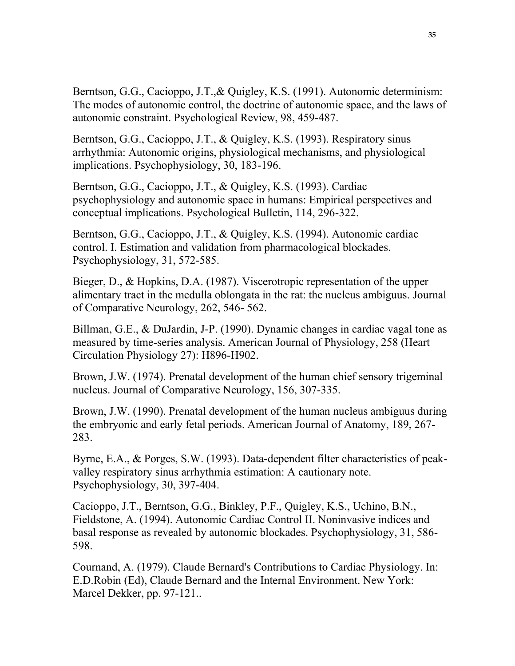Berntson, G.G., Cacioppo, J.T.,& Quigley, K.S. (1991). Autonomic determinism: The modes of autonomic control, the doctrine of autonomic space, and the laws of autonomic constraint. Psychological Review, 98, 459-487.

Berntson, G.G., Cacioppo, J.T., & Quigley, K.S. (1993). Respiratory sinus arrhythmia: Autonomic origins, physiological mechanisms, and physiological implications. Psychophysiology, 30, 183-196.

Berntson, G.G., Cacioppo, J.T., & Quigley, K.S. (1993). Cardiac psychophysiology and autonomic space in humans: Empirical perspectives and conceptual implications. Psychological Bulletin, 114, 296-322.

Berntson, G.G., Cacioppo, J.T., & Quigley, K.S. (1994). Autonomic cardiac control. I. Estimation and validation from pharmacological blockades. Psychophysiology, 31, 572-585.

Bieger, D., & Hopkins, D.A. (1987). Viscerotropic representation of the upper alimentary tract in the medulla oblongata in the rat: the nucleus ambiguus. Journal of Comparative Neurology, 262, 546- 562.

Billman, G.E., & DuJardin, J-P. (1990). Dynamic changes in cardiac vagal tone as measured by time-series analysis. American Journal of Physiology, 258 (Heart Circulation Physiology 27): H896-H902.

Brown, J.W. (1974). Prenatal development of the human chief sensory trigeminal nucleus. Journal of Comparative Neurology, 156, 307-335.

Brown, J.W. (1990). Prenatal development of the human nucleus ambiguus during the embryonic and early fetal periods. American Journal of Anatomy, 189, 267- 283.

Byrne, E.A., & Porges, S.W. (1993). Data-dependent filter characteristics of peakvalley respiratory sinus arrhythmia estimation: A cautionary note. Psychophysiology, 30, 397-404.

Cacioppo, J.T., Berntson, G.G., Binkley, P.F., Quigley, K.S., Uchino, B.N., Fieldstone, A. (1994). Autonomic Cardiac Control II. Noninvasive indices and basal response as revealed by autonomic blockades. Psychophysiology, 31, 586- 598.

Cournand, A. (1979). Claude Bernard's Contributions to Cardiac Physiology. In: E.D.Robin (Ed), Claude Bernard and the Internal Environment. New York: Marcel Dekker, pp. 97-121..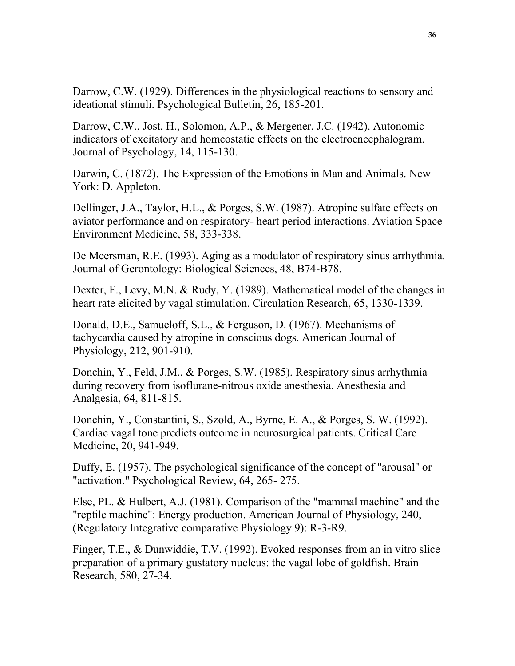Darrow, C.W. (1929). Differences in the physiological reactions to sensory and ideational stimuli. Psychological Bulletin, 26, 185-201.

Darrow, C.W., Jost, H., Solomon, A.P., & Mergener, J.C. (1942). Autonomic indicators of excitatory and homeostatic effects on the electroencephalogram. Journal of Psychology, 14, 115-130.

Darwin, C. (1872). The Expression of the Emotions in Man and Animals. New York: D. Appleton.

Dellinger, J.A., Taylor, H.L., & Porges, S.W. (1987). Atropine sulfate effects on aviator performance and on respiratory- heart period interactions. Aviation Space Environment Medicine, 58, 333-338.

De Meersman, R.E. (1993). Aging as a modulator of respiratory sinus arrhythmia. Journal of Gerontology: Biological Sciences, 48, B74-B78.

Dexter, F., Levy, M.N. & Rudy, Y. (1989). Mathematical model of the changes in heart rate elicited by vagal stimulation. Circulation Research, 65, 1330-1339.

Donald, D.E., Samueloff, S.L., & Ferguson, D. (1967). Mechanisms of tachycardia caused by atropine in conscious dogs. American Journal of Physiology, 212, 901-910.

Donchin, Y., Feld, J.M., & Porges, S.W. (1985). Respiratory sinus arrhythmia during recovery from isoflurane-nitrous oxide anesthesia. Anesthesia and Analgesia, 64, 811-815.

Donchin, Y., Constantini, S., Szold, A., Byrne, E. A., & Porges, S. W. (1992). Cardiac vagal tone predicts outcome in neurosurgical patients. Critical Care Medicine, 20, 941-949.

Duffy, E. (1957). The psychological significance of the concept of "arousal" or "activation." Psychological Review, 64, 265- 275.

Else, PL. & Hulbert, A.J. (1981). Comparison of the "mammal machine" and the "reptile machine": Energy production. American Journal of Physiology, 240, (Regulatory Integrative comparative Physiology 9): R-3-R9.

Finger, T.E., & Dunwiddie, T.V. (1992). Evoked responses from an in vitro slice preparation of a primary gustatory nucleus: the vagal lobe of goldfish. Brain Research, 580, 27-34.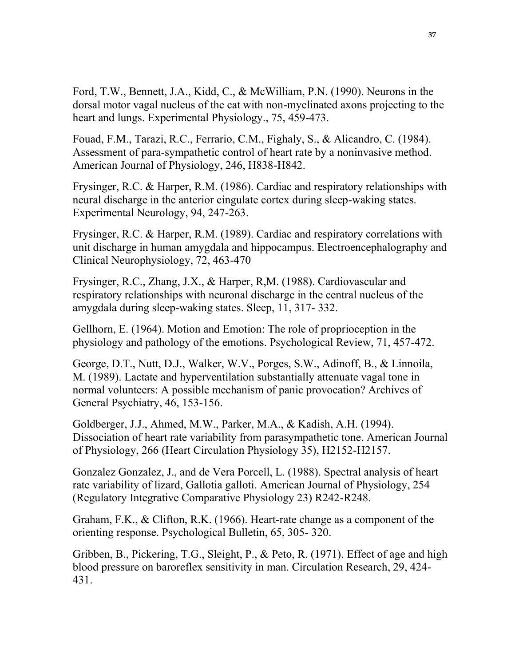Ford, T.W., Bennett, J.A., Kidd, C., & McWilliam, P.N. (1990). Neurons in the dorsal motor vagal nucleus of the cat with non-myelinated axons projecting to the heart and lungs. Experimental Physiology., 75, 459-473.

Fouad, F.M., Tarazi, R.C., Ferrario, C.M., Fighaly, S., & Alicandro, C. (1984). Assessment of para-sympathetic control of heart rate by a noninvasive method. American Journal of Physiology, 246, H838-H842.

Frysinger, R.C. & Harper, R.M. (1986). Cardiac and respiratory relationships with neural discharge in the anterior cingulate cortex during sleep-waking states. Experimental Neurology, 94, 247-263.

Frysinger, R.C. & Harper, R.M. (1989). Cardiac and respiratory correlations with unit discharge in human amygdala and hippocampus. Electroencephalography and Clinical Neurophysiology, 72, 463-470

Frysinger, R.C., Zhang, J.X., & Harper, R,M. (1988). Cardiovascular and respiratory relationships with neuronal discharge in the central nucleus of the amygdala during sleep-waking states. Sleep, 11, 317- 332.

Gellhorn, E. (1964). Motion and Emotion: The role of proprioception in the physiology and pathology of the emotions. Psychological Review, 71, 457-472.

George, D.T., Nutt, D.J., Walker, W.V., Porges, S.W., Adinoff, B., & Linnoila, M. (1989). Lactate and hyperventilation substantially attenuate vagal tone in normal volunteers: A possible mechanism of panic provocation? Archives of General Psychiatry, 46, 153-156.

Goldberger, J.J., Ahmed, M.W., Parker, M.A., & Kadish, A.H. (1994). Dissociation of heart rate variability from parasympathetic tone. American Journal of Physiology, 266 (Heart Circulation Physiology 35), H2152-H2157.

Gonzalez Gonzalez, J., and de Vera Porcell, L. (1988). Spectral analysis of heart rate variability of lizard, Gallotia galloti. American Journal of Physiology, 254 (Regulatory Integrative Comparative Physiology 23) R242-R248.

Graham, F.K., & Clifton, R.K. (1966). Heart-rate change as a component of the orienting response. Psychological Bulletin, 65, 305- 320.

Gribben, B., Pickering, T.G., Sleight, P., & Peto, R. (1971). Effect of age and high blood pressure on baroreflex sensitivity in man. Circulation Research, 29, 424- 431.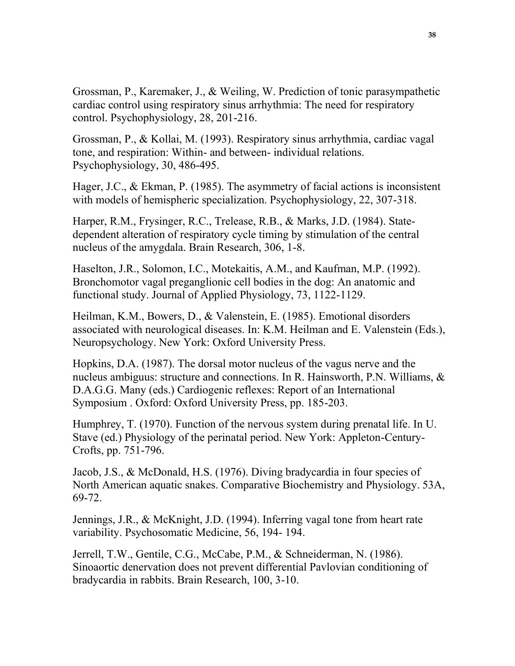Grossman, P., Karemaker, J., & Weiling, W. Prediction of tonic parasympathetic cardiac control using respiratory sinus arrhythmia: The need for respiratory control. Psychophysiology, 28, 201-216.

Grossman, P., & Kollai, M. (1993). Respiratory sinus arrhythmia, cardiac vagal tone, and respiration: Within- and between- individual relations. Psychophysiology, 30, 486-495.

Hager, J.C., & Ekman, P. (1985). The asymmetry of facial actions is inconsistent with models of hemispheric specialization. Psychophysiology, 22, 307-318.

Harper, R.M., Frysinger, R.C., Trelease, R.B., & Marks, J.D. (1984). Statedependent alteration of respiratory cycle timing by stimulation of the central nucleus of the amygdala. Brain Research, 306, 1-8.

Haselton, J.R., Solomon, I.C., Motekaitis, A.M., and Kaufman, M.P. (1992). Bronchomotor vagal preganglionic cell bodies in the dog: An anatomic and functional study. Journal of Applied Physiology, 73, 1122-1129.

Heilman, K.M., Bowers, D., & Valenstein, E. (1985). Emotional disorders associated with neurological diseases. In: K.M. Heilman and E. Valenstein (Eds.), Neuropsychology. New York: Oxford University Press.

Hopkins, D.A. (1987). The dorsal motor nucleus of the vagus nerve and the nucleus ambiguus: structure and connections. In R. Hainsworth, P.N. Williams, & D.A.G.G. Many (eds.) Cardiogenic reflexes: Report of an International Symposium . Oxford: Oxford University Press, pp. 185-203.

Humphrey, T. (1970). Function of the nervous system during prenatal life. In U. Stave (ed.) Physiology of the perinatal period. New York: Appleton-Century-Crofts, pp. 751-796.

Jacob, J.S., & McDonald, H.S. (1976). Diving bradycardia in four species of North American aquatic snakes. Comparative Biochemistry and Physiology. 53A, 69-72.

Jennings, J.R., & McKnight, J.D. (1994). Inferring vagal tone from heart rate variability. Psychosomatic Medicine, 56, 194- 194.

Jerrell, T.W., Gentile, C.G., McCabe, P.M., & Schneiderman, N. (1986). Sinoaortic denervation does not prevent differential Pavlovian conditioning of bradycardia in rabbits. Brain Research, 100, 3-10.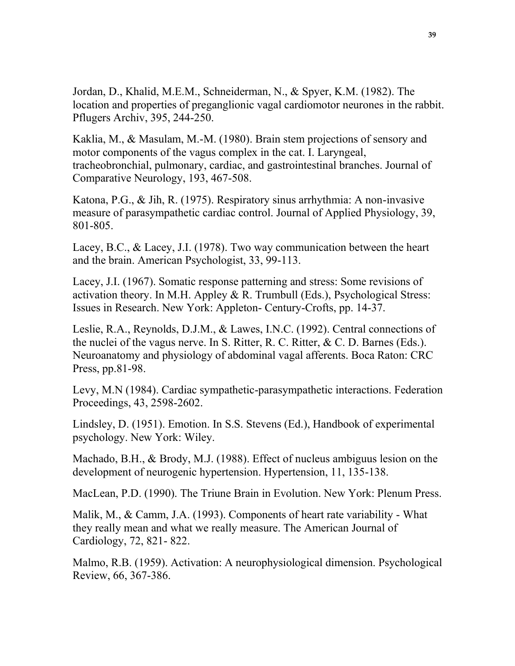Jordan, D., Khalid, M.E.M., Schneiderman, N., & Spyer, K.M. (1982). The location and properties of preganglionic vagal cardiomotor neurones in the rabbit. Pflugers Archiv, 395, 244-250.

Kaklia, M., & Masulam, M.-M. (1980). Brain stem projections of sensory and motor components of the vagus complex in the cat. I. Laryngeal, tracheobronchial, pulmonary, cardiac, and gastrointestinal branches. Journal of Comparative Neurology, 193, 467-508.

Katona, P.G., & Jih, R. (1975). Respiratory sinus arrhythmia: A non-invasive measure of parasympathetic cardiac control. Journal of Applied Physiology, 39, 801-805.

Lacey, B.C., & Lacey, J.I. (1978). Two way communication between the heart and the brain. American Psychologist, 33, 99-113.

Lacey, J.I. (1967). Somatic response patterning and stress: Some revisions of activation theory. In M.H. Appley & R. Trumbull (Eds.), Psychological Stress: Issues in Research. New York: Appleton- Century-Crofts, pp. 14-37.

Leslie, R.A., Reynolds, D.J.M., & Lawes, I.N.C. (1992). Central connections of the nuclei of the vagus nerve. In S. Ritter, R. C. Ritter, & C. D. Barnes (Eds.). Neuroanatomy and physiology of abdominal vagal afferents. Boca Raton: CRC Press, pp.81-98.

Levy, M.N (1984). Cardiac sympathetic-parasympathetic interactions. Federation Proceedings, 43, 2598-2602.

Lindsley, D. (1951). Emotion. In S.S. Stevens (Ed.), Handbook of experimental psychology. New York: Wiley.

Machado, B.H., & Brody, M.J. (1988). Effect of nucleus ambiguus lesion on the development of neurogenic hypertension. Hypertension, 11, 135-138.

MacLean, P.D. (1990). The Triune Brain in Evolution. New York: Plenum Press.

Malik, M., & Camm, J.A. (1993). Components of heart rate variability - What they really mean and what we really measure. The American Journal of Cardiology, 72, 821- 822.

Malmo, R.B. (1959). Activation: A neurophysiological dimension. Psychological Review, 66, 367-386.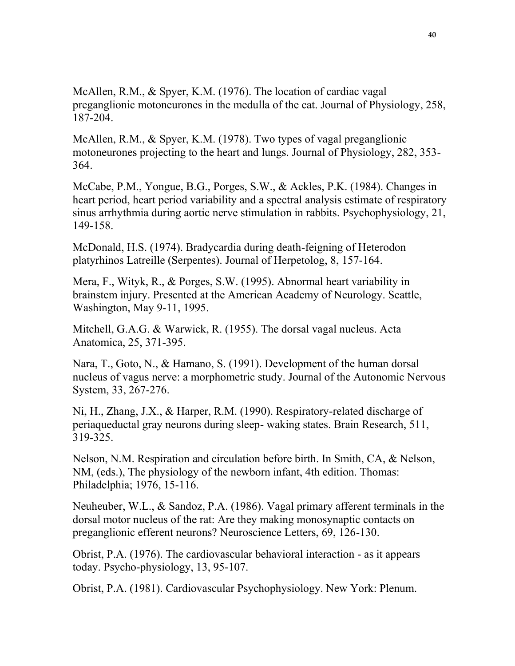McAllen, R.M., & Spyer, K.M. (1976). The location of cardiac vagal preganglionic motoneurones in the medulla of the cat. Journal of Physiology, 258, 187-204.

McAllen, R.M., & Spyer, K.M. (1978). Two types of vagal preganglionic motoneurones projecting to the heart and lungs. Journal of Physiology, 282, 353- 364.

McCabe, P.M., Yongue, B.G., Porges, S.W., & Ackles, P.K. (1984). Changes in heart period, heart period variability and a spectral analysis estimate of respiratory sinus arrhythmia during aortic nerve stimulation in rabbits. Psychophysiology, 21, 149-158.

McDonald, H.S. (1974). Bradycardia during death-feigning of Heterodon platyrhinos Latreille (Serpentes). Journal of Herpetolog, 8, 157-164.

Mera, F., Wityk, R., & Porges, S.W. (1995). Abnormal heart variability in brainstem injury. Presented at the American Academy of Neurology. Seattle, Washington, May 9-11, 1995.

Mitchell, G.A.G. & Warwick, R. (1955). The dorsal vagal nucleus. Acta Anatomica, 25, 371-395.

Nara, T., Goto, N., & Hamano, S. (1991). Development of the human dorsal nucleus of vagus nerve: a morphometric study. Journal of the Autonomic Nervous System, 33, 267-276.

Ni, H., Zhang, J.X., & Harper, R.M. (1990). Respiratory-related discharge of periaqueductal gray neurons during sleep- waking states. Brain Research, 511, 319-325.

Nelson, N.M. Respiration and circulation before birth. In Smith, CA, & Nelson, NM, (eds.), The physiology of the newborn infant, 4th edition. Thomas: Philadelphia; 1976, 15-116.

Neuheuber, W.L., & Sandoz, P.A. (1986). Vagal primary afferent terminals in the dorsal motor nucleus of the rat: Are they making monosynaptic contacts on preganglionic efferent neurons? Neuroscience Letters, 69, 126-130.

Obrist, P.A. (1976). The cardiovascular behavioral interaction - as it appears today. Psycho-physiology, 13, 95-107.

Obrist, P.A. (1981). Cardiovascular Psychophysiology. New York: Plenum.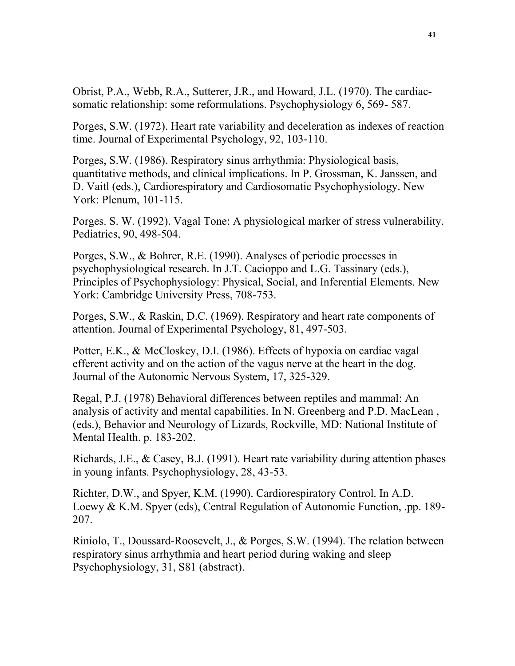Obrist, P.A., Webb, R.A., Sutterer, J.R., and Howard, J.L. (1970). The cardiacsomatic relationship: some reformulations. Psychophysiology 6, 569- 587.

Porges, S.W. (1972). Heart rate variability and deceleration as indexes of reaction time. Journal of Experimental Psychology, 92, 103-110.

Porges, S.W. (1986). Respiratory sinus arrhythmia: Physiological basis, quantitative methods, and clinical implications. In P. Grossman, K. Janssen, and D. Vaitl (eds.), Cardiorespiratory and Cardiosomatic Psychophysiology. New York: Plenum, 101-115.

Porges. S. W. (1992). Vagal Tone: A physiological marker of stress vulnerability. Pediatrics, 90, 498-504.

Porges, S.W., & Bohrer, R.E. (1990). Analyses of periodic processes in psychophysiological research. In J.T. Cacioppo and L.G. Tassinary (eds.), Principles of Psychophysiology: Physical, Social, and Inferential Elements. New York: Cambridge University Press, 708-753.

Porges, S.W., & Raskin, D.C. (1969). Respiratory and heart rate components of attention. Journal of Experimental Psychology, 81, 497-503.

Potter, E.K., & McCloskey, D.I. (1986). Effects of hypoxia on cardiac vagal efferent activity and on the action of the vagus nerve at the heart in the dog. Journal of the Autonomic Nervous System, 17, 325-329.

Regal, P.J. (1978) Behavioral differences between reptiles and mammal: An analysis of activity and mental capabilities. In N. Greenberg and P.D. MacLean , (eds.), Behavior and Neurology of Lizards, Rockville, MD: National Institute of Mental Health. p. 183-202.

Richards, J.E., & Casey, B.J. (1991). Heart rate variability during attention phases in young infants. Psychophysiology, 28, 43-53.

Richter, D.W., and Spyer, K.M. (1990). Cardiorespiratory Control. In A.D. Loewy & K.M. Spyer (eds), Central Regulation of Autonomic Function, .pp. 189- 207.

Riniolo, T., Doussard-Roosevelt, J., & Porges, S.W. (1994). The relation between respiratory sinus arrhythmia and heart period during waking and sleep Psychophysiology, 31, S81 (abstract).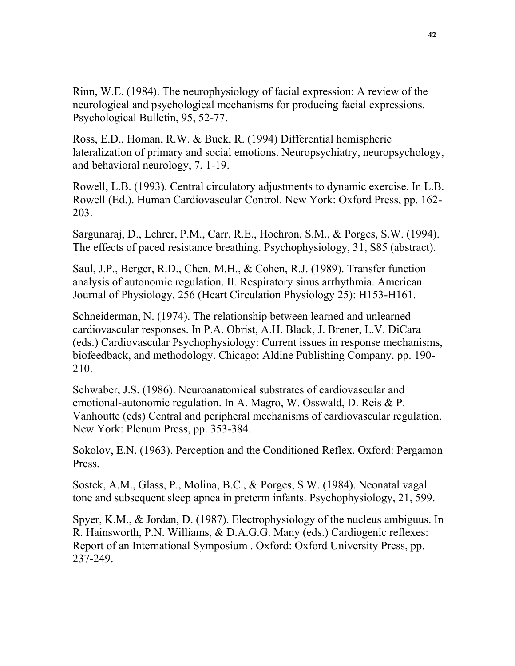Rinn, W.E. (1984). The neurophysiology of facial expression: A review of the neurological and psychological mechanisms for producing facial expressions. Psychological Bulletin, 95, 52-77.

Ross, E.D., Homan, R.W. & Buck, R. (1994) Differential hemispheric lateralization of primary and social emotions. Neuropsychiatry, neuropsychology, and behavioral neurology, 7, 1-19.

Rowell, L.B. (1993). Central circulatory adjustments to dynamic exercise. In L.B. Rowell (Ed.). Human Cardiovascular Control. New York: Oxford Press, pp. 162- 203.

Sargunaraj, D., Lehrer, P.M., Carr, R.E., Hochron, S.M., & Porges, S.W. (1994). The effects of paced resistance breathing. Psychophysiology, 31, S85 (abstract).

Saul, J.P., Berger, R.D., Chen, M.H., & Cohen, R.J. (1989). Transfer function analysis of autonomic regulation. II. Respiratory sinus arrhythmia. American Journal of Physiology, 256 (Heart Circulation Physiology 25): H153-H161.

Schneiderman, N. (1974). The relationship between learned and unlearned cardiovascular responses. In P.A. Obrist, A.H. Black, J. Brener, L.V. DiCara (eds.) Cardiovascular Psychophysiology: Current issues in response mechanisms, biofeedback, and methodology. Chicago: Aldine Publishing Company. pp. 190- 210.

Schwaber, J.S. (1986). Neuroanatomical substrates of cardiovascular and emotional-autonomic regulation. In A. Magro, W. Osswald, D. Reis & P. Vanhoutte (eds) Central and peripheral mechanisms of cardiovascular regulation. New York: Plenum Press, pp. 353-384.

Sokolov, E.N. (1963). Perception and the Conditioned Reflex. Oxford: Pergamon Press.

Sostek, A.M., Glass, P., Molina, B.C., & Porges, S.W. (1984). Neonatal vagal tone and subsequent sleep apnea in preterm infants. Psychophysiology, 21, 599.

Spyer, K.M., & Jordan, D. (1987). Electrophysiology of the nucleus ambiguus. In R. Hainsworth, P.N. Williams, & D.A.G.G. Many (eds.) Cardiogenic reflexes: Report of an International Symposium . Oxford: Oxford University Press, pp. 237-249.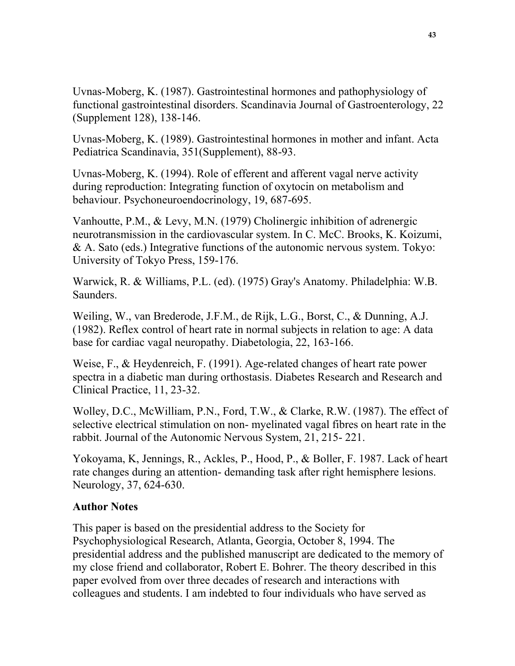Uvnas-Moberg, K. (1987). Gastrointestinal hormones and pathophysiology of functional gastrointestinal disorders. Scandinavia Journal of Gastroenterology, 22 (Supplement 128), 138-146.

Uvnas-Moberg, K. (1989). Gastrointestinal hormones in mother and infant. Acta Pediatrica Scandinavia, 351(Supplement), 88-93.

Uvnas-Moberg, K. (1994). Role of efferent and afferent vagal nerve activity during reproduction: Integrating function of oxytocin on metabolism and behaviour. Psychoneuroendocrinology, 19, 687-695.

Vanhoutte, P.M., & Levy, M.N. (1979) Cholinergic inhibition of adrenergic neurotransmission in the cardiovascular system. In C. McC. Brooks, K. Koizumi, & A. Sato (eds.) Integrative functions of the autonomic nervous system. Tokyo: University of Tokyo Press, 159-176.

Warwick, R. & Williams, P.L. (ed). (1975) Gray's Anatomy. Philadelphia: W.B. Saunders.

Weiling, W., van Brederode, J.F.M., de Rijk, L.G., Borst, C., & Dunning, A.J. (1982). Reflex control of heart rate in normal subjects in relation to age: A data base for cardiac vagal neuropathy. Diabetologia, 22, 163-166.

Weise, F., & Heydenreich, F. (1991). Age-related changes of heart rate power spectra in a diabetic man during orthostasis. Diabetes Research and Research and Clinical Practice, 11, 23-32.

Wolley, D.C., McWilliam, P.N., Ford, T.W., & Clarke, R.W. (1987). The effect of selective electrical stimulation on non- myelinated vagal fibres on heart rate in the rabbit. Journal of the Autonomic Nervous System, 21, 215- 221.

Yokoyama, K, Jennings, R., Ackles, P., Hood, P., & Boller, F. 1987. Lack of heart rate changes during an attention- demanding task after right hemisphere lesions. Neurology, 37, 624-630.

#### **Author Notes**

This paper is based on the presidential address to the Society for Psychophysiological Research, Atlanta, Georgia, October 8, 1994. The presidential address and the published manuscript are dedicated to the memory of my close friend and collaborator, Robert E. Bohrer. The theory described in this paper evolved from over three decades of research and interactions with colleagues and students. I am indebted to four individuals who have served as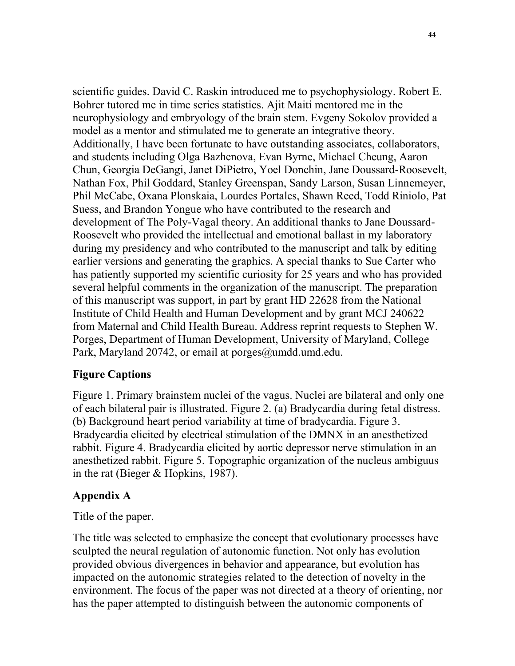scientific guides. David C. Raskin introduced me to psychophysiology. Robert E. Bohrer tutored me in time series statistics. Ajit Maiti mentored me in the neurophysiology and embryology of the brain stem. Evgeny Sokolov provided a model as a mentor and stimulated me to generate an integrative theory. Additionally, I have been fortunate to have outstanding associates, collaborators, and students including Olga Bazhenova, Evan Byrne, Michael Cheung, Aaron Chun, Georgia DeGangi, Janet DiPietro, Yoel Donchin, Jane Doussard-Roosevelt, Nathan Fox, Phil Goddard, Stanley Greenspan, Sandy Larson, Susan Linnemeyer, Phil McCabe, Oxana Plonskaia, Lourdes Portales, Shawn Reed, Todd Riniolo, Pat Suess, and Brandon Yongue who have contributed to the research and development of The Poly-Vagal theory. An additional thanks to Jane Doussard-Roosevelt who provided the intellectual and emotional ballast in my laboratory during my presidency and who contributed to the manuscript and talk by editing earlier versions and generating the graphics. A special thanks to Sue Carter who has patiently supported my scientific curiosity for 25 years and who has provided several helpful comments in the organization of the manuscript. The preparation of this manuscript was support, in part by grant HD 22628 from the National Institute of Child Health and Human Development and by grant MCJ 240622 from Maternal and Child Health Bureau. Address reprint requests to Stephen W. Porges, Department of Human Development, University of Maryland, College Park, Maryland 20742, or email at porges@umdd.umd.edu.

### **Figure Captions**

Figure 1. Primary brainstem nuclei of the vagus. Nuclei are bilateral and only one of each bilateral pair is illustrated. Figure 2. (a) Bradycardia during fetal distress. (b) Background heart period variability at time of bradycardia. Figure 3. Bradycardia elicited by electrical stimulation of the DMNX in an anesthetized rabbit. Figure 4. Bradycardia elicited by aortic depressor nerve stimulation in an anesthetized rabbit. Figure 5. Topographic organization of the nucleus ambiguus in the rat (Bieger & Hopkins, 1987).

#### **Appendix A**

Title of the paper.

The title was selected to emphasize the concept that evolutionary processes have sculpted the neural regulation of autonomic function. Not only has evolution provided obvious divergences in behavior and appearance, but evolution has impacted on the autonomic strategies related to the detection of novelty in the environment. The focus of the paper was not directed at a theory of orienting, nor has the paper attempted to distinguish between the autonomic components of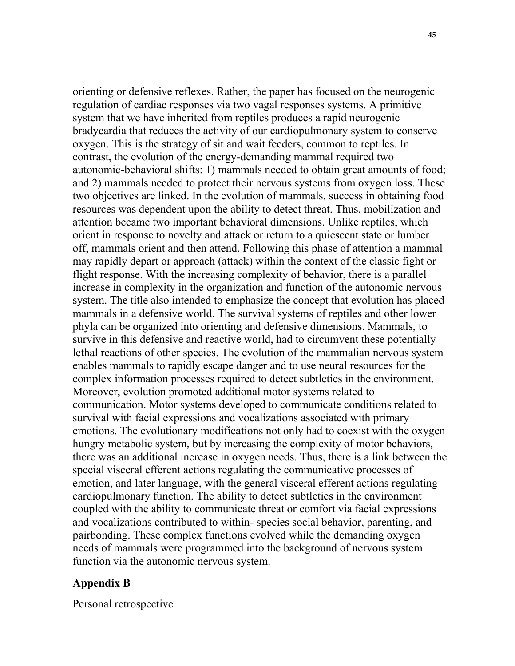orienting or defensive reflexes. Rather, the paper has focused on the neurogenic regulation of cardiac responses via two vagal responses systems. A primitive system that we have inherited from reptiles produces a rapid neurogenic bradycardia that reduces the activity of our cardiopulmonary system to conserve oxygen. This is the strategy of sit and wait feeders, common to reptiles. In contrast, the evolution of the energy-demanding mammal required two autonomic-behavioral shifts: 1) mammals needed to obtain great amounts of food; and 2) mammals needed to protect their nervous systems from oxygen loss. These two objectives are linked. In the evolution of mammals, success in obtaining food resources was dependent upon the ability to detect threat. Thus, mobilization and attention became two important behavioral dimensions. Unlike reptiles, which orient in response to novelty and attack or return to a quiescent state or lumber off, mammals orient and then attend. Following this phase of attention a mammal may rapidly depart or approach (attack) within the context of the classic fight or flight response. With the increasing complexity of behavior, there is a parallel increase in complexity in the organization and function of the autonomic nervous system. The title also intended to emphasize the concept that evolution has placed mammals in a defensive world. The survival systems of reptiles and other lower phyla can be organized into orienting and defensive dimensions. Mammals, to survive in this defensive and reactive world, had to circumvent these potentially lethal reactions of other species. The evolution of the mammalian nervous system enables mammals to rapidly escape danger and to use neural resources for the complex information processes required to detect subtleties in the environment. Moreover, evolution promoted additional motor systems related to communication. Motor systems developed to communicate conditions related to survival with facial expressions and vocalizations associated with primary emotions. The evolutionary modifications not only had to coexist with the oxygen hungry metabolic system, but by increasing the complexity of motor behaviors, there was an additional increase in oxygen needs. Thus, there is a link between the special visceral efferent actions regulating the communicative processes of emotion, and later language, with the general visceral efferent actions regulating cardiopulmonary function. The ability to detect subtleties in the environment coupled with the ability to communicate threat or comfort via facial expressions and vocalizations contributed to within- species social behavior, parenting, and pairbonding. These complex functions evolved while the demanding oxygen needs of mammals were programmed into the background of nervous system function via the autonomic nervous system.

#### **Appendix B**

Personal retrospective